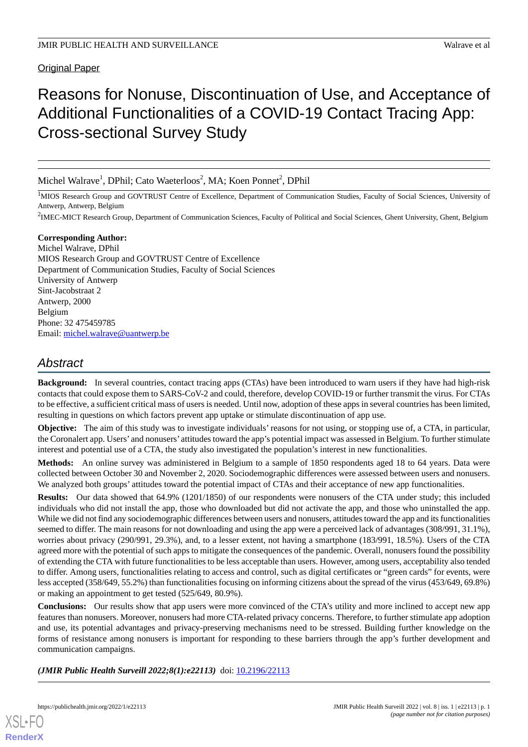### Original Paper

# Reasons for Nonuse, Discontinuation of Use, and Acceptance of Additional Functionalities of a COVID-19 Contact Tracing App: Cross-sectional Survey Study

Michel Walrave<sup>1</sup>, DPhil; Cato Waeterloos<sup>2</sup>, MA; Koen Ponnet<sup>2</sup>, DPhil

<sup>1</sup>MIOS Research Group and GOVTRUST Centre of Excellence, Department of Communication Studies, Faculty of Social Sciences, University of Antwerp, Antwerp, Belgium

<sup>2</sup>IMEC-MICT Research Group, Department of Communication Sciences, Faculty of Political and Social Sciences, Ghent University, Ghent, Belgium

### **Corresponding Author:**

Michel Walrave, DPhil MIOS Research Group and GOVTRUST Centre of Excellence Department of Communication Studies, Faculty of Social Sciences University of Antwerp Sint-Jacobstraat 2 Antwerp, 2000 Belgium Phone: 32 475459785 Email: [michel.walrave@uantwerp.be](mailto:michel.walrave@uantwerp.be)

## *Abstract*

**Background:** In several countries, contact tracing apps (CTAs) have been introduced to warn users if they have had high-risk contacts that could expose them to SARS-CoV-2 and could, therefore, develop COVID-19 or further transmit the virus. For CTAs to be effective, a sufficient critical mass of users is needed. Until now, adoption of these apps in several countries has been limited, resulting in questions on which factors prevent app uptake or stimulate discontinuation of app use.

**Objective:** The aim of this study was to investigate individuals' reasons for not using, or stopping use of, a CTA, in particular, the Coronalert app. Users' and nonusers' attitudes toward the app's potential impact was assessed in Belgium. To further stimulate interest and potential use of a CTA, the study also investigated the population's interest in new functionalities.

**Methods:** An online survey was administered in Belgium to a sample of 1850 respondents aged 18 to 64 years. Data were collected between October 30 and November 2, 2020. Sociodemographic differences were assessed between users and nonusers. We analyzed both groups' attitudes toward the potential impact of CTAs and their acceptance of new app functionalities.

**Results:** Our data showed that 64.9% (1201/1850) of our respondents were nonusers of the CTA under study; this included individuals who did not install the app, those who downloaded but did not activate the app, and those who uninstalled the app. While we did not find any sociodemographic differences between users and nonusers, attitudes toward the app and its functionalities seemed to differ. The main reasons for not downloading and using the app were a perceived lack of advantages (308/991, 31.1%), worries about privacy (290/991, 29.3%), and, to a lesser extent, not having a smartphone (183/991, 18.5%). Users of the CTA agreed more with the potential of such apps to mitigate the consequences of the pandemic. Overall, nonusers found the possibility of extending the CTA with future functionalities to be less acceptable than users. However, among users, acceptability also tended to differ. Among users, functionalities relating to access and control, such as digital certificates or "green cards" for events, were less accepted (358/649, 55.2%) than functionalities focusing on informing citizens about the spread of the virus (453/649, 69.8%) or making an appointment to get tested (525/649, 80.9%).

**Conclusions:** Our results show that app users were more convinced of the CTA's utility and more inclined to accept new app features than nonusers. Moreover, nonusers had more CTA-related privacy concerns. Therefore, to further stimulate app adoption and use, its potential advantages and privacy-preserving mechanisms need to be stressed. Building further knowledge on the forms of resistance among nonusers is important for responding to these barriers through the app's further development and communication campaigns.

*(JMIR Public Health Surveill 2022;8(1):e22113)* doi: [10.2196/22113](http://dx.doi.org/10.2196/22113)

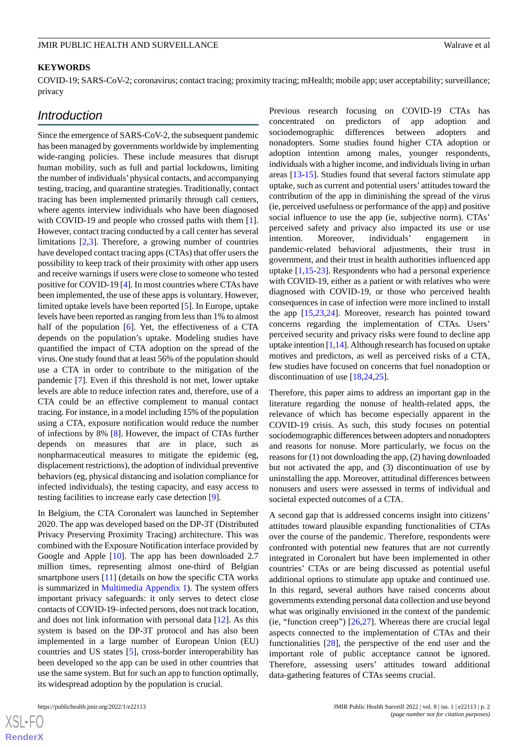#### **KEYWORDS**

COVID-19; SARS-CoV-2; coronavirus; contact tracing; proximity tracing; mHealth; mobile app; user acceptability; surveillance; privacy

### *Introduction*

Since the emergence of SARS-CoV-2, the subsequent pandemic has been managed by governments worldwide by implementing wide-ranging policies. These include measures that disrupt human mobility, such as full and partial lockdowns, limiting the number of individuals'physical contacts, and accompanying testing, tracing, and quarantine strategies. Traditionally, contact tracing has been implemented primarily through call centers, where agents interview individuals who have been diagnosed with COVID-19 and people who crossed paths with them [[1\]](#page-13-0). However, contact tracing conducted by a call center has several limitations [[2](#page-13-1)[,3](#page-13-2)]. Therefore, a growing number of countries have developed contact tracing apps (CTAs) that offer users the possibility to keep track of their proximity with other app users and receive warnings if users were close to someone who tested positive for COVID-19 [[4\]](#page-13-3). In most countries where CTAs have been implemented, the use of these apps is voluntary. However, limited uptake levels have been reported [[5\]](#page-13-4). In Europe, uptake levels have been reported as ranging from less than 1% to almost half of the population [\[6\]](#page-13-5). Yet, the effectiveness of a CTA depends on the population's uptake. Modeling studies have quantified the impact of CTA adoption on the spread of the virus. One study found that at least 56% of the population should use a CTA in order to contribute to the mitigation of the pandemic [[7\]](#page-13-6). Even if this threshold is not met, lower uptake levels are able to reduce infection rates and, therefore, use of a CTA could be an effective complement to manual contact tracing. For instance, in a model including 15% of the population using a CTA, exposure notification would reduce the number of infections by 8% [\[8](#page-13-7)]. However, the impact of CTAs further depends on measures that are in place, such as nonpharmaceutical measures to mitigate the epidemic (eg, displacement restrictions), the adoption of individual preventive behaviors (eg, physical distancing and isolation compliance for infected individuals), the testing capacity, and easy access to testing facilities to increase early case detection [[9\]](#page-13-8).

In Belgium, the CTA Coronalert was launched in September 2020. The app was developed based on the DP-3T (Distributed Privacy Preserving Proximity Tracing) architecture. This was combined with the Exposure Notification interface provided by Google and Apple [[10\]](#page-14-0). The app has been downloaded 2.7 million times, representing almost one-third of Belgian smartphone users [\[11](#page-14-1)] (details on how the specific CTA works is summarized in [Multimedia Appendix 1\)](#page-13-9). The system offers important privacy safeguards: it only serves to detect close contacts of COVID-19–infected persons, does not track location, and does not link information with personal data [[12\]](#page-14-2). As this system is based on the DP-3T protocol and has also been implemented in a large number of European Union (EU) countries and US states [[5\]](#page-13-4), cross-border interoperability has been developed so the app can be used in other countries that use the same system. But for such an app to function optimally, its widespread adoption by the population is crucial.

 $X$ SL•F **[RenderX](http://www.renderx.com/)** Previous research focusing on COVID-19 CTAs has concentrated on predictors of app adoption and sociodemographic differences between adopters and nonadopters. Some studies found higher CTA adoption or adoption intention among males, younger respondents, individuals with a higher income, and individuals living in urban areas [\[13](#page-14-3)-[15\]](#page-14-4). Studies found that several factors stimulate app uptake, such as current and potential users' attitudes toward the contribution of the app in diminishing the spread of the virus (ie, perceived usefulness or performance of the app) and positive social influence to use the app (ie, subjective norm). CTAs' perceived safety and privacy also impacted its use or use intention. Moreover, individuals' engagement in pandemic-related behavioral adjustments, their trust in government, and their trust in health authorities influenced app uptake [\[1](#page-13-0),[15-](#page-14-4)[23\]](#page-14-5). Respondents who had a personal experience with COVID-19, either as a patient or with relatives who were diagnosed with COVID-19, or those who perceived health consequences in case of infection were more inclined to install the app [\[15](#page-14-4),[23,](#page-14-5)[24](#page-14-6)]. Moreover, research has pointed toward concerns regarding the implementation of CTAs. Users' perceived security and privacy risks were found to decline app uptake intention [\[1](#page-13-0)[,14\]](#page-14-7). Although research has focused on uptake motives and predictors, as well as perceived risks of a CTA, few studies have focused on concerns that fuel nonadoption or discontinuation of use [[18](#page-14-8)[,24](#page-14-6),[25\]](#page-14-9).

Therefore, this paper aims to address an important gap in the literature regarding the nonuse of health-related apps, the relevance of which has become especially apparent in the COVID-19 crisis. As such, this study focuses on potential sociodemographic differences between adopters and nonadopters and reasons for nonuse. More particularly, we focus on the reasons for (1) not downloading the app, (2) having downloaded but not activated the app, and (3) discontinuation of use by uninstalling the app. Moreover, attitudinal differences between nonusers and users were assessed in terms of individual and societal expected outcomes of a CTA.

A second gap that is addressed concerns insight into citizens' attitudes toward plausible expanding functionalities of CTAs over the course of the pandemic. Therefore, respondents were confronted with potential new features that are not currently integrated in Coronalert but have been implemented in other countries' CTAs or are being discussed as potential useful additional options to stimulate app uptake and continued use. In this regard, several authors have raised concerns about governments extending personal data collection and use beyond what was originally envisioned in the context of the pandemic (ie, "function creep") [\[26](#page-14-10),[27\]](#page-14-11). Whereas there are crucial legal aspects connected to the implementation of CTAs and their functionalities [\[28](#page-14-12)], the perspective of the end user and the important role of public acceptance cannot be ignored. Therefore, assessing users' attitudes toward additional data-gathering features of CTAs seems crucial.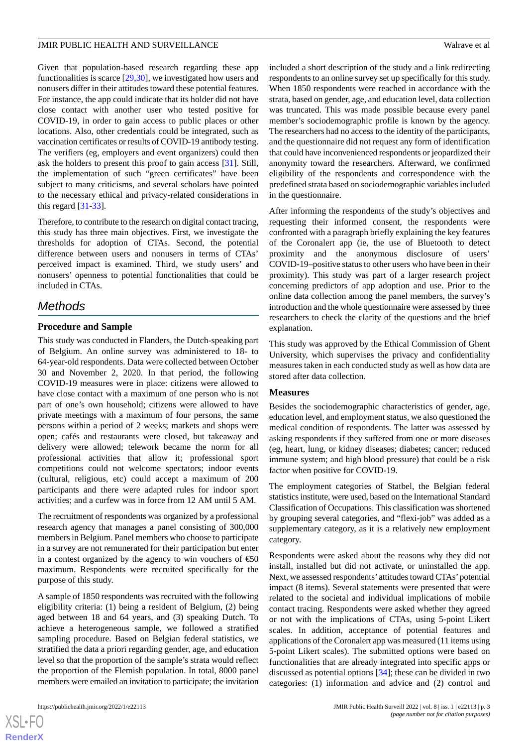Given that population-based research regarding these app functionalities is scarce [\[29](#page-14-13),[30\]](#page-14-14), we investigated how users and nonusers differ in their attitudes toward these potential features. For instance, the app could indicate that its holder did not have close contact with another user who tested positive for COVID-19, in order to gain access to public places or other locations. Also, other credentials could be integrated, such as vaccination certificates or results of COVID-19 antibody testing. The verifiers (eg, employers and event organizers) could then ask the holders to present this proof to gain access [[31\]](#page-15-0). Still, the implementation of such "green certificates" have been subject to many criticisms, and several scholars have pointed to the necessary ethical and privacy-related considerations in this regard [[31-](#page-15-0)[33\]](#page-15-1).

Therefore, to contribute to the research on digital contact tracing, this study has three main objectives. First, we investigate the thresholds for adoption of CTAs. Second, the potential difference between users and nonusers in terms of CTAs' perceived impact is examined. Third, we study users' and nonusers' openness to potential functionalities that could be included in CTAs.

### *Methods*

### **Procedure and Sample**

This study was conducted in Flanders, the Dutch-speaking part of Belgium. An online survey was administered to 18- to 64-year-old respondents. Data were collected between October 30 and November 2, 2020. In that period, the following COVID-19 measures were in place: citizens were allowed to have close contact with a maximum of one person who is not part of one's own household; citizens were allowed to have private meetings with a maximum of four persons, the same persons within a period of 2 weeks; markets and shops were open; cafés and restaurants were closed, but takeaway and delivery were allowed; telework became the norm for all professional activities that allow it; professional sport competitions could not welcome spectators; indoor events (cultural, religious, etc) could accept a maximum of 200 participants and there were adapted rules for indoor sport activities; and a curfew was in force from 12 AM until 5 AM.

The recruitment of respondents was organized by a professional research agency that manages a panel consisting of 300,000 members in Belgium. Panel members who choose to participate in a survey are not remunerated for their participation but enter in a contest organized by the agency to win vouchers of  $\epsilon$ 50 maximum. Respondents were recruited specifically for the purpose of this study.

A sample of 1850 respondents was recruited with the following eligibility criteria: (1) being a resident of Belgium, (2) being aged between 18 and 64 years, and (3) speaking Dutch. To achieve a heterogeneous sample, we followed a stratified sampling procedure. Based on Belgian federal statistics, we stratified the data a priori regarding gender, age, and education level so that the proportion of the sample's strata would reflect the proportion of the Flemish population. In total, 8000 panel members were emailed an invitation to participate; the invitation

 $XS$  $\cdot$ FC **[RenderX](http://www.renderx.com/)** included a short description of the study and a link redirecting respondents to an online survey set up specifically for this study. When 1850 respondents were reached in accordance with the strata, based on gender, age, and education level, data collection was truncated. This was made possible because every panel member's sociodemographic profile is known by the agency. The researchers had no access to the identity of the participants, and the questionnaire did not request any form of identification that could have inconvenienced respondents or jeopardized their anonymity toward the researchers. Afterward, we confirmed eligibility of the respondents and correspondence with the predefined strata based on sociodemographic variables included in the questionnaire.

After informing the respondents of the study's objectives and requesting their informed consent, the respondents were confronted with a paragraph briefly explaining the key features of the Coronalert app (ie, the use of Bluetooth to detect proximity and the anonymous disclosure of users' COVID-19–positive status to other users who have been in their proximity). This study was part of a larger research project concerning predictors of app adoption and use. Prior to the online data collection among the panel members, the survey's introduction and the whole questionnaire were assessed by three researchers to check the clarity of the questions and the brief explanation.

This study was approved by the Ethical Commission of Ghent University, which supervises the privacy and confidentiality measures taken in each conducted study as well as how data are stored after data collection.

#### **Measures**

Besides the sociodemographic characteristics of gender, age, education level, and employment status, we also questioned the medical condition of respondents. The latter was assessed by asking respondents if they suffered from one or more diseases (eg, heart, lung, or kidney diseases; diabetes; cancer; reduced immune system; and high blood pressure) that could be a risk factor when positive for COVID-19.

The employment categories of Statbel, the Belgian federal statistics institute, were used, based on the International Standard Classification of Occupations. This classification was shortened by grouping several categories, and "flexi-job" was added as a supplementary category, as it is a relatively new employment category.

Respondents were asked about the reasons why they did not install, installed but did not activate, or uninstalled the app. Next, we assessed respondents' attitudes toward CTAs'potential impact (8 items). Several statements were presented that were related to the societal and individual implications of mobile contact tracing. Respondents were asked whether they agreed or not with the implications of CTAs, using 5-point Likert scales. In addition, acceptance of potential features and applications of the Coronalert app was measured (11 items using 5-point Likert scales). The submitted options were based on functionalities that are already integrated into specific apps or discussed as potential options [[34\]](#page-15-2); these can be divided in two categories: (1) information and advice and (2) control and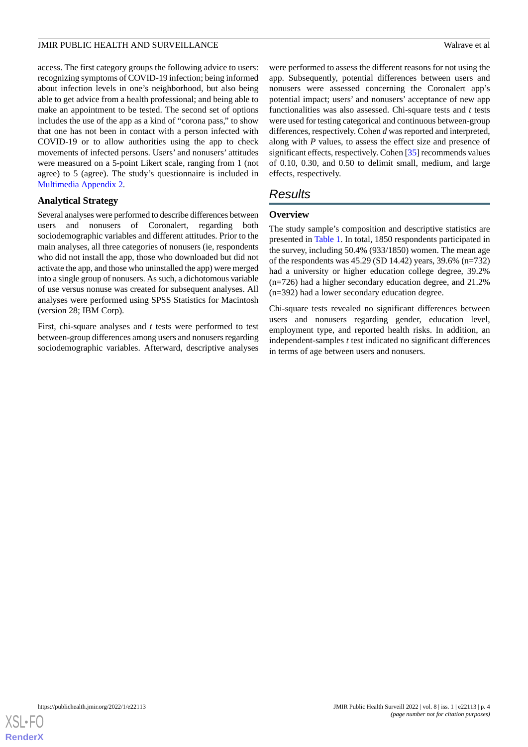access. The first category groups the following advice to users: recognizing symptoms of COVID-19 infection; being informed about infection levels in one's neighborhood, but also being able to get advice from a health professional; and being able to make an appointment to be tested. The second set of options includes the use of the app as a kind of "corona pass," to show that one has not been in contact with a person infected with COVID-19 or to allow authorities using the app to check movements of infected persons. Users' and nonusers' attitudes were measured on a 5-point Likert scale, ranging from 1 (not agree) to 5 (agree). The study's questionnaire is included in [Multimedia Appendix 2.](#page-13-10)

### **Analytical Strategy**

Several analyses were performed to describe differences between users and nonusers of Coronalert, regarding both sociodemographic variables and different attitudes. Prior to the main analyses, all three categories of nonusers (ie, respondents who did not install the app, those who downloaded but did not activate the app, and those who uninstalled the app) were merged into a single group of nonusers. As such, a dichotomous variable of use versus nonuse was created for subsequent analyses. All analyses were performed using SPSS Statistics for Macintosh (version 28; IBM Corp).

First, chi-square analyses and *t* tests were performed to test between-group differences among users and nonusers regarding sociodemographic variables. Afterward, descriptive analyses were performed to assess the different reasons for not using the app. Subsequently, potential differences between users and nonusers were assessed concerning the Coronalert app's potential impact; users' and nonusers' acceptance of new app functionalities was also assessed. Chi-square tests and *t* tests were used for testing categorical and continuous between-group differences, respectively. Cohen *d* was reported and interpreted, along with *P* values, to assess the effect size and presence of significant effects, respectively. Cohen [[35\]](#page-15-3) recommends values of 0.10, 0.30, and 0.50 to delimit small, medium, and large effects, respectively.

# *Results*

### **Overview**

The study sample's composition and descriptive statistics are presented in [Table 1](#page-4-0). In total, 1850 respondents participated in the survey, including 50.4% (933/1850) women. The mean age of the respondents was 45.29 (SD 14.42) years, 39.6% (n=732) had a university or higher education college degree, 39.2% (n=726) had a higher secondary education degree, and 21.2% (n=392) had a lower secondary education degree.

Chi-square tests revealed no significant differences between users and nonusers regarding gender, education level, employment type, and reported health risks. In addition, an independent-samples *t* test indicated no significant differences in terms of age between users and nonusers.

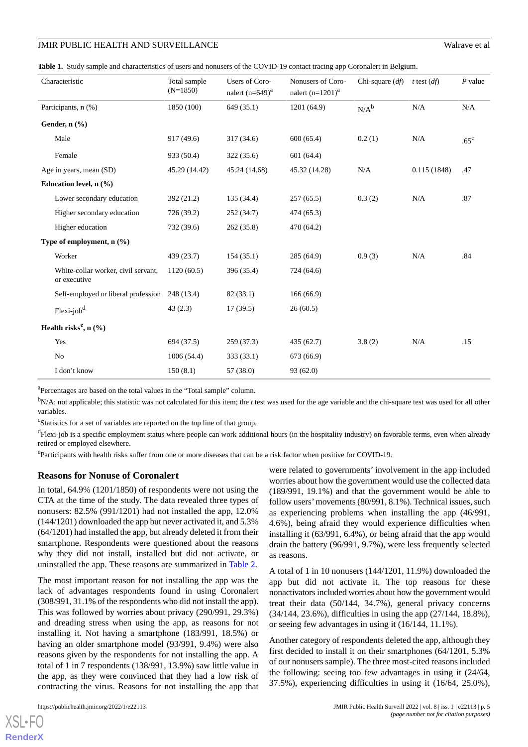<span id="page-4-0"></span>

| Table 1. Study sample and characteristics of users and nonusers of the COVID-19 contact tracing app Coronalert in Belgium. |  |  |
|----------------------------------------------------------------------------------------------------------------------------|--|--|
|----------------------------------------------------------------------------------------------------------------------------|--|--|

| Characteristic                                      | Total sample<br>$(N=1850)$ | Users of Coro-<br>nalert $(n=649)^a$ | Nonusers of Coro-<br>nalert $(n=1201)^{a}$ | Chi-square $(df)$ | t test $(df)$ | $P$ value     |
|-----------------------------------------------------|----------------------------|--------------------------------------|--------------------------------------------|-------------------|---------------|---------------|
| Participants, n (%)                                 | 1850 (100)                 | 649 (35.1)                           | 1201 (64.9)                                | $N/A^b$           | N/A           | N/A           |
| Gender, $n$ $(\frac{9}{6})$                         |                            |                                      |                                            |                   |               |               |
| Male                                                | 917 (49.6)                 | 317 (34.6)                           | 600(65.4)                                  | 0.2(1)            | N/A           | $.65^{\circ}$ |
| Female                                              | 933 (50.4)                 | 322 (35.6)                           | 601(64.4)                                  |                   |               |               |
| Age in years, mean (SD)                             | 45.29 (14.42)              | 45.24 (14.68)                        | 45.32 (14.28)                              | $\rm N/A$         | 0.115(1848)   | .47           |
| Education level, n (%)                              |                            |                                      |                                            |                   |               |               |
| Lower secondary education                           | 392 (21.2)                 | 135 (34.4)                           | 257(65.5)                                  | 0.3(2)            | N/A           | .87           |
| Higher secondary education                          | 726 (39.2)                 | 252 (34.7)                           | 474 (65.3)                                 |                   |               |               |
| Higher education                                    | 732 (39.6)                 | 262 (35.8)                           | 470 (64.2)                                 |                   |               |               |
| Type of employment, $n$ $(\%)$                      |                            |                                      |                                            |                   |               |               |
| Worker                                              | 439 (23.7)                 | 154(35.1)                            | 285 (64.9)                                 | 0.9(3)            | N/A           | .84           |
| White-collar worker, civil servant,<br>or executive | 1120(60.5)                 | 396 (35.4)                           | 724 (64.6)                                 |                   |               |               |
| Self-employed or liberal profession                 | 248 (13.4)                 | 82 (33.1)                            | 166(66.9)                                  |                   |               |               |
| Flexi-job <sup>d</sup>                              | 43(2.3)                    | 17(39.5)                             | 26(60.5)                                   |                   |               |               |
| Health risks <sup>e</sup> , $n$ (%)                 |                            |                                      |                                            |                   |               |               |
| Yes                                                 | 694 (37.5)                 | 259 (37.3)                           | 435 (62.7)                                 | 3.8(2)            | N/A           | .15           |
| No                                                  | 1006(54.4)                 | 333 (33.1)                           | 673 (66.9)                                 |                   |               |               |
| I don't know                                        | 150(8.1)                   | 57 (38.0)                            | 93 (62.0)                                  |                   |               |               |

<sup>a</sup>Percentages are based on the total values in the "Total sample" column.

<sup>b</sup>N/A: not applicable; this statistic was not calculated for this item; the *t* test was used for the age variable and the chi-square test was used for all other variables.

c Statistics for a set of variables are reported on the top line of that group.

<sup>d</sup>Flexi-job is a specific employment status where people can work additional hours (in the hospitality industry) on favorable terms, even when already retired or employed elsewhere.

<sup>e</sup>Participants with health risks suffer from one or more diseases that can be a risk factor when positive for COVID-19.

#### **Reasons for Nonuse of Coronalert**

In total, 64.9% (1201/1850) of respondents were not using the CTA at the time of the study. The data revealed three types of nonusers: 82.5% (991/1201) had not installed the app, 12.0% (144/1201) downloaded the app but never activated it, and 5.3% (64/1201) had installed the app, but already deleted it from their smartphone. Respondents were questioned about the reasons why they did not install, installed but did not activate, or uninstalled the app. These reasons are summarized in [Table 2.](#page-5-0)

The most important reason for not installing the app was the lack of advantages respondents found in using Coronalert (308/991, 31.1% of the respondents who did not install the app). This was followed by worries about privacy (290/991, 29.3%) and dreading stress when using the app, as reasons for not installing it. Not having a smartphone (183/991, 18.5%) or having an older smartphone model (93/991, 9.4%) were also reasons given by the respondents for not installing the app. A total of 1 in 7 respondents (138/991, 13.9%) saw little value in the app, as they were convinced that they had a low risk of contracting the virus. Reasons for not installing the app that

were related to governments' involvement in the app included worries about how the government would use the collected data (189/991, 19.1%) and that the government would be able to follow users'movements (80/991, 8.1%). Technical issues, such as experiencing problems when installing the app (46/991, 4.6%), being afraid they would experience difficulties when installing it (63/991, 6.4%), or being afraid that the app would drain the battery (96/991, 9.7%), were less frequently selected as reasons.

A total of 1 in 10 nonusers (144/1201, 11.9%) downloaded the app but did not activate it. The top reasons for these nonactivators included worries about how the government would treat their data (50/144, 34.7%), general privacy concerns (34/144, 23.6%), difficulties in using the app (27/144, 18.8%), or seeing few advantages in using it (16/144, 11.1%).

Another category of respondents deleted the app, although they first decided to install it on their smartphones (64/1201, 5.3% of our nonusers sample). The three most-cited reasons included the following: seeing too few advantages in using it (24/64, 37.5%), experiencing difficulties in using it (16/64, 25.0%),

 $XS$ -FO **[RenderX](http://www.renderx.com/)**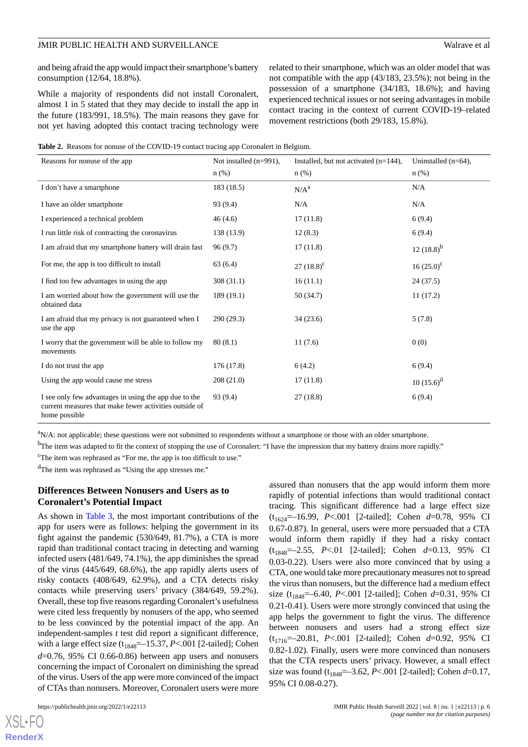and being afraid the app would impact their smartphone's battery consumption (12/64, 18.8%).

While a majority of respondents did not install Coronalert, almost 1 in 5 stated that they may decide to install the app in the future (183/991, 18.5%). The main reasons they gave for not yet having adopted this contact tracing technology were related to their smartphone, which was an older model that was not compatible with the app (43/183, 23.5%); not being in the possession of a smartphone (34/183, 18.6%); and having experienced technical issues or not seeing advantages in mobile contact tracing in the context of current COVID-19–related movement restrictions (both 29/183, 15.8%).

<span id="page-5-0"></span>

|  |  | <b>Table 2.</b> Reasons for nonuse of the COVID-19 contact tracing app Coronalert in Belgium. |  |  |
|--|--|-----------------------------------------------------------------------------------------------|--|--|
|  |  |                                                                                               |  |  |

| Reasons for nonuse of the app                                                                                                    | Not installed $(n=991)$ ,<br>$n$ (%) | Installed, but not activated $(n=144)$ ,<br>$n$ (%) | Uninstalled $(n=64)$ ,<br>$n$ (%) |
|----------------------------------------------------------------------------------------------------------------------------------|--------------------------------------|-----------------------------------------------------|-----------------------------------|
| I don't have a smartphone                                                                                                        | 183 (18.5)                           | N/A <sup>a</sup>                                    | N/A                               |
| I have an older smartphone                                                                                                       | 93 (9.4)                             | N/A                                                 | N/A                               |
| I experienced a technical problem                                                                                                | 46(4.6)                              | 17(11.8)                                            | 6(9.4)                            |
| I run little risk of contracting the coronavirus                                                                                 | 138 (13.9)                           | 12(8.3)                                             | 6(9.4)                            |
| I am afraid that my smartphone battery will drain fast                                                                           | 96(9.7)                              | 17(11.8)                                            | $12(18.8)^{b}$                    |
| For me, the app is too difficult to install                                                                                      | 63(6.4)                              | 27 $(18.8)^c$                                       | $16(25.0)^{c}$                    |
| I find too few advantages in using the app                                                                                       | 308(31.1)                            | 16(11.1)                                            | 24(37.5)                          |
| I am worried about how the government will use the<br>obtained data                                                              | 189(19.1)                            | 50(34.7)                                            | 11(17.2)                          |
| I am afraid that my privacy is not guaranteed when I<br>use the app                                                              | 290(29.3)                            | 34(23.6)                                            | 5(7.8)                            |
| I worry that the government will be able to follow my<br>movements                                                               | 80(8.1)                              | 11(7.6)                                             | 0(0)                              |
| I do not trust the app                                                                                                           | 176 (17.8)                           | 6(4.2)                                              | 6(9.4)                            |
| Using the app would cause me stress                                                                                              | 208 (21.0)                           | 17(11.8)                                            | $10(15.6)^d$                      |
| I see only few advantages in using the app due to the<br>current measures that make fewer activities outside of<br>home possible | 93 (9.4)                             | 27(18.8)                                            | 6(9.4)                            |

 ${}^{a}N/A$ : not applicable; these questions were not submitted to respondents without a smartphone or those with an older smartphone.

<sup>b</sup>The item was adapted to fit the context of stopping the use of Coronalert: "I have the impression that my battery drains more rapidly."

<sup>c</sup>The item was rephrased as "For me, the app is too difficult to use."

<sup>d</sup>The item was rephrased as "Using the app stresses me."

### **Differences Between Nonusers and Users as to Coronalert's Potential Impact**

As shown in [Table 3,](#page-6-0) the most important contributions of the app for users were as follows: helping the government in its fight against the pandemic (530/649, 81.7%), a CTA is more rapid than traditional contact tracing in detecting and warning infected users (481/649, 74.1%), the app diminishes the spread of the virus (445/649, 68.6%), the app rapidly alerts users of risky contacts (408/649, 62.9%), and a CTA detects risky contacts while preserving users' privacy (384/649, 59.2%). Overall, these top five reasons regarding Coronalert's usefulness were cited less frequently by nonusers of the app, who seemed to be less convinced by the potential impact of the app. An independent-samples *t* test did report a significant difference, with a large effect size  $(t_{1848}=-15.37, P<.001$  [2-tailed]; Cohen *d*=0.76, 95% CI 0.66-0.86) between app users and nonusers concerning the impact of Coronalert on diminishing the spread of the virus. Users of the app were more convinced of the impact of CTAs than nonusers. Moreover, Coronalert users were more

 $X$ SL•FO **[RenderX](http://www.renderx.com/)** assured than nonusers that the app would inform them more rapidly of potential infections than would traditional contact tracing. This significant difference had a large effect size (t1624=–16.99, *P*<.001 [2-tailed]; Cohen *d*=0.78, 95% CI 0.67-0.87). In general, users were more persuaded that a CTA would inform them rapidly if they had a risky contact (t1848=–2.55, *P*<.01 [2-tailed]; Cohen *d*=0.13, 95% CI 0.03-0.22). Users were also more convinced that by using a CTA, one would take more precautionary measures not to spread the virus than nonusers, but the difference had a medium effect size (t1848=–6.40, *P*<.001 [2-tailed]; Cohen *d*=0.31, 95% CI 0.21-0.41). Users were more strongly convinced that using the app helps the government to fight the virus. The difference between nonusers and users had a strong effect size (t1716=–20.81, *P*<.001 [2-tailed]; Cohen *d*=0.92, 95% CI 0.82-1.02). Finally, users were more convinced than nonusers that the CTA respects users' privacy. However, a small effect size was found (t<sub>1848</sub>=-3.62, *P*<.001 [2-tailed]; Cohen *d*=0.17, 95% CI 0.08-0.27).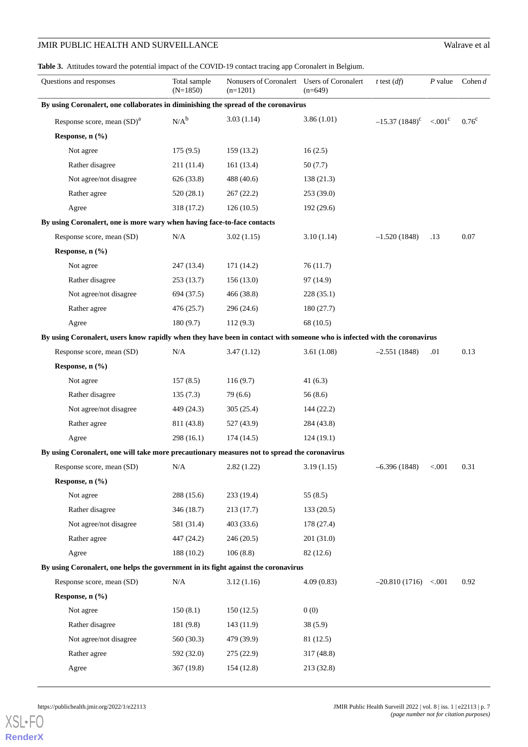<span id="page-6-0"></span>Table 3. Attitudes toward the potential impact of the COVID-19 contact tracing app Coronalert in Belgium.

| Questions and responses                                                                                                  | Total sample<br>$(N=1850)$ | Nonusers of Coronalert Users of Coronalert<br>$(n=1201)$ | $(n=649)$  | t test $(df)$                       | $P$ value | Cohen $d$      |
|--------------------------------------------------------------------------------------------------------------------------|----------------------------|----------------------------------------------------------|------------|-------------------------------------|-----------|----------------|
| By using Coronalert, one collaborates in diminishing the spread of the coronavirus                                       |                            |                                                          |            |                                     |           |                |
| Response score, mean $(SD)^a$                                                                                            | $N/A^b$                    | 3.03(1.14)                                               | 3.86(1.01) | $-15.37(1848)^c$ <.001 <sup>c</sup> |           | $0.76^{\circ}$ |
| Response, n (%)                                                                                                          |                            |                                                          |            |                                     |           |                |
| Not agree                                                                                                                | 175(9.5)                   | 159(13.2)                                                | 16(2.5)    |                                     |           |                |
| Rather disagree                                                                                                          | 211 (11.4)                 | 161(13.4)                                                | 50(7.7)    |                                     |           |                |
| Not agree/not disagree                                                                                                   | 626 (33.8)                 | 488 (40.6)                                               | 138(21.3)  |                                     |           |                |
| Rather agree                                                                                                             | 520(28.1)                  | 267(22.2)                                                | 253 (39.0) |                                     |           |                |
| Agree                                                                                                                    | 318 (17.2)                 | 126(10.5)                                                | 192 (29.6) |                                     |           |                |
| By using Coronalert, one is more wary when having face-to-face contacts                                                  |                            |                                                          |            |                                     |           |                |
| Response score, mean (SD)                                                                                                | N/A                        | 3.02(1.15)                                               | 3.10(1.14) | $-1.520(1848)$                      | .13       | 0.07           |
| Response, n (%)                                                                                                          |                            |                                                          |            |                                     |           |                |
| Not agree                                                                                                                | 247 (13.4)                 | 171 (14.2)                                               | 76(11.7)   |                                     |           |                |
| Rather disagree                                                                                                          | 253(13.7)                  | 156(13.0)                                                | 97 (14.9)  |                                     |           |                |
| Not agree/not disagree                                                                                                   | 694 (37.5)                 | 466 (38.8)                                               | 228 (35.1) |                                     |           |                |
| Rather agree                                                                                                             | 476(25.7)                  | 296 (24.6)                                               | 180(27.7)  |                                     |           |                |
| Agree                                                                                                                    | 180(9.7)                   | 112(9.3)                                                 | 68 (10.5)  |                                     |           |                |
| By using Coronalert, users know rapidly when they have been in contact with someone who is infected with the coronavirus |                            |                                                          |            |                                     |           |                |
| Response score, mean (SD)                                                                                                | N/A                        | 3.47(1.12)                                               | 3.61(1.08) | $-2.551(1848)$                      | .01       | 0.13           |
| Response, n (%)                                                                                                          |                            |                                                          |            |                                     |           |                |
| Not agree                                                                                                                | 157(8.5)                   | 116(9.7)                                                 | 41(6.3)    |                                     |           |                |
| Rather disagree                                                                                                          | 135(7.3)                   | 79(6.6)                                                  | 56(8.6)    |                                     |           |                |
| Not agree/not disagree                                                                                                   | 449 (24.3)                 | 305(25.4)                                                | 144(22.2)  |                                     |           |                |
| Rather agree                                                                                                             | 811 (43.8)                 | 527 (43.9)                                               | 284 (43.8) |                                     |           |                |
| Agree                                                                                                                    | 298(16.1)                  | 174(14.5)                                                | 124(19.1)  |                                     |           |                |
| By using Coronalert, one will take more precautionary measures not to spread the coronavirus                             |                            |                                                          |            |                                     |           |                |
| Response score, mean (SD)                                                                                                | N/A                        | 2.82(1.22)                                               | 3.19(1.15) | $-6.396(1848)$                      | < 0.001   | 0.31           |
| Response, $n$ $(\frac{9}{6})$                                                                                            |                            |                                                          |            |                                     |           |                |
| Not agree                                                                                                                | 288 (15.6)                 | 233 (19.4)                                               | 55(8.5)    |                                     |           |                |
| Rather disagree                                                                                                          | 346 (18.7)                 | 213(17.7)                                                | 133(20.5)  |                                     |           |                |
| Not agree/not disagree                                                                                                   | 581 (31.4)                 | 403 (33.6)                                               | 178 (27.4) |                                     |           |                |
| Rather agree                                                                                                             | 447 (24.2)                 | 246(20.5)                                                | 201(31.0)  |                                     |           |                |
| Agree                                                                                                                    | 188 (10.2)                 | 106(8.8)                                                 | 82 (12.6)  |                                     |           |                |
| By using Coronalert, one helps the government in its fight against the coronavirus                                       |                            |                                                          |            |                                     |           |                |
| Response score, mean (SD)                                                                                                | N/A                        | 3.12(1.16)                                               | 4.09(0.83) | $-20.810(1716) < .001$              |           | 0.92           |
| Response, n (%)                                                                                                          |                            |                                                          |            |                                     |           |                |
| Not agree                                                                                                                | 150(8.1)                   | 150(12.5)                                                | 0(0)       |                                     |           |                |
| Rather disagree                                                                                                          | 181 (9.8)                  | 143(11.9)                                                | 38(5.9)    |                                     |           |                |
| Not agree/not disagree                                                                                                   | 560 (30.3)                 | 479 (39.9)                                               | 81(12.5)   |                                     |           |                |
| Rather agree                                                                                                             | 592 (32.0)                 | 275(22.9)                                                | 317 (48.8) |                                     |           |                |
| Agree                                                                                                                    | 367 (19.8)                 | 154 (12.8)                                               | 213 (32.8) |                                     |           |                |

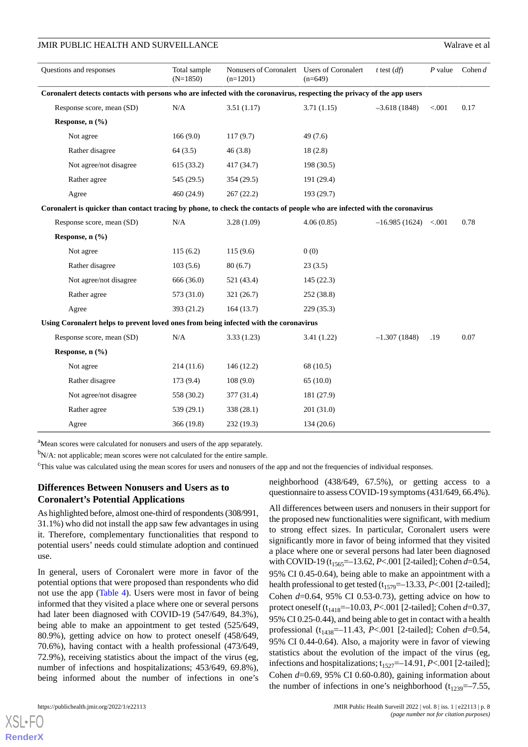| Questions and responses                                                                                                    | Total sample<br>$(N=1850)$ | Nonusers of Coronalert Users of Coronalert<br>$(n=1201)$ | $(n=649)$  | t test $(df)$          | $P$ value | Cohen $d$ |
|----------------------------------------------------------------------------------------------------------------------------|----------------------------|----------------------------------------------------------|------------|------------------------|-----------|-----------|
| Coronalert detects contacts with persons who are infected with the coronavirus, respecting the privacy of the app users    |                            |                                                          |            |                        |           |           |
| Response score, mean (SD)                                                                                                  | N/A                        | 3.51(1.17)                                               | 3.71(1.15) | $-3.618(1848)$         | < 0.001   | 0.17      |
| Response, $n$ $(\frac{9}{6})$                                                                                              |                            |                                                          |            |                        |           |           |
| Not agree                                                                                                                  | 166(9.0)                   | 117(9.7)                                                 | 49(7.6)    |                        |           |           |
| Rather disagree                                                                                                            | 64(3.5)                    | 46(3.8)                                                  | 18(2.8)    |                        |           |           |
| Not agree/not disagree                                                                                                     | 615(33.2)                  | 417(34.7)                                                | 198 (30.5) |                        |           |           |
| Rather agree                                                                                                               | 545 (29.5)                 | 354(29.5)                                                | 191 (29.4) |                        |           |           |
| Agree                                                                                                                      | 460(24.9)                  | 267(22.2)                                                | 193 (29.7) |                        |           |           |
| Coronalert is quicker than contact tracing by phone, to check the contacts of people who are infected with the coronavirus |                            |                                                          |            |                        |           |           |
| Response score, mean (SD)                                                                                                  | N/A                        | 3.28(1.09)                                               | 4.06(0.85) | $-16.985(1624) < .001$ |           | 0.78      |
| Response, $n$ $(\frac{9}{6})$                                                                                              |                            |                                                          |            |                        |           |           |
| Not agree                                                                                                                  | 115(6.2)                   | 115(9.6)                                                 | 0(0)       |                        |           |           |
| Rather disagree                                                                                                            | 103(5.6)                   | 80(6.7)                                                  | 23(3.5)    |                        |           |           |
| Not agree/not disagree                                                                                                     | 666 (36.0)                 | 521 (43.4)                                               | 145(22.3)  |                        |           |           |
| Rather agree                                                                                                               | 573 (31.0)                 | 321(26.7)                                                | 252(38.8)  |                        |           |           |
| Agree                                                                                                                      | 393 (21.2)                 | 164(13.7)                                                | 229(35.3)  |                        |           |           |
| Using Coronalert helps to prevent loved ones from being infected with the coronavirus                                      |                            |                                                          |            |                        |           |           |
|                                                                                                                            |                            |                                                          |            |                        |           |           |

| sing Coronalert neips to prevent loved ones from being infected with the coronavirus |            |            |            |                |     |      |  |  |
|--------------------------------------------------------------------------------------|------------|------------|------------|----------------|-----|------|--|--|
| Response score, mean (SD)                                                            | N/A        | 3.33(1.23) | 3.41(1.22) | $-1.307(1848)$ | .19 | 0.07 |  |  |
| Response, $n$ $(\% )$                                                                |            |            |            |                |     |      |  |  |
| Not agree                                                                            | 214(11.6)  | 146(12.2)  | 68 (10.5)  |                |     |      |  |  |
| Rather disagree                                                                      | 173(9.4)   | 108(9.0)   | 65(10.0)   |                |     |      |  |  |
| Not agree/not disagree                                                               | 558 (30.2) | 377 (31.4) | 181 (27.9) |                |     |      |  |  |
| Rather agree                                                                         | 539 (29.1) | 338 (28.1) | 201 (31.0) |                |     |      |  |  |
| Agree                                                                                | 366 (19.8) | 232 (19.3) | 134 (20.6) |                |     |      |  |  |

<sup>a</sup>Mean scores were calculated for nonusers and users of the app separately.

<sup>b</sup>N/A: not applicable; mean scores were not calculated for the entire sample.

<sup>c</sup>This value was calculated using the mean scores for users and nonusers of the app and not the frequencies of individual responses.

### **Differences Between Nonusers and Users as to Coronalert's Potential Applications**

As highlighted before, almost one-third of respondents (308/991, 31.1%) who did not install the app saw few advantages in using it. Therefore, complementary functionalities that respond to potential users' needs could stimulate adoption and continued use.

In general, users of Coronalert were more in favor of the potential options that were proposed than respondents who did not use the app ([Table 4](#page-9-0)). Users were most in favor of being informed that they visited a place where one or several persons had later been diagnosed with COVID-19 (547/649, 84.3%), being able to make an appointment to get tested (525/649, 80.9%), getting advice on how to protect oneself (458/649, 70.6%), having contact with a health professional (473/649, 72.9%), receiving statistics about the impact of the virus (eg, number of infections and hospitalizations; 453/649, 69.8%), being informed about the number of infections in one's

neighborhood (438/649, 67.5%), or getting access to a questionnaire to assess COVID-19 symptoms (431/649, 66.4%).

All differences between users and nonusers in their support for the proposed new functionalities were significant, with medium to strong effect sizes. In particular, Coronalert users were significantly more in favor of being informed that they visited a place where one or several persons had later been diagnosed with COVID-19 (t<sub>1565</sub>=-13.62, *P*<.001 [2-tailed]; Cohen *d*=0.54, 95% CI 0.45-0.64), being able to make an appointment with a health professional to get tested  $(t_{1579}=-13.33, P<.001$  [2-tailed]; Cohen *d*=0.64, 95% CI 0.53-0.73), getting advice on how to protect oneself (t1418=–10.03, *P*<.001 [2-tailed]; Cohen *d*=0.37, 95% CI 0.25-0.44), and being able to get in contact with a health professional (t<sub>1438</sub>=-11.43, *P*<.001 [2-tailed]; Cohen *d*=0.54, 95% CI 0.44-0.64). Also, a majority were in favor of viewing statistics about the evolution of the impact of the virus (eg, infections and hospitalizations;  $t_{1527}$ =-14.91, *P*<.001 [2-tailed]; Cohen *d*=0.69, 95% CI 0.60-0.80), gaining information about the number of infections in one's neighborhood  $(t_{1239}=-7.55,$ 

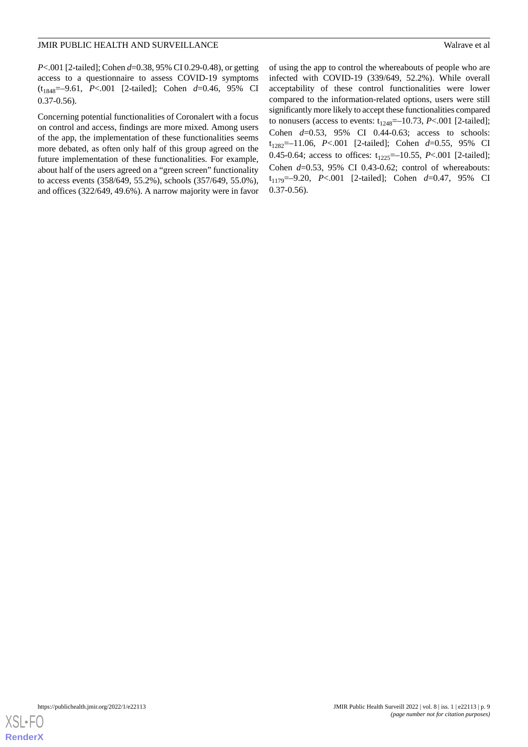*P*<.001 [2-tailed]; Cohen *d*=0.38, 95% CI 0.29-0.48), or getting access to a questionnaire to assess COVID-19 symptoms (t1848=–9.61, *P*<.001 [2-tailed]; Cohen *d*=0.46, 95% CI 0.37-0.56).

Concerning potential functionalities of Coronalert with a focus on control and access, findings are more mixed. Among users of the app, the implementation of these functionalities seems more debated, as often only half of this group agreed on the future implementation of these functionalities. For example, about half of the users agreed on a "green screen" functionality to access events (358/649, 55.2%), schools (357/649, 55.0%), and offices (322/649, 49.6%). A narrow majority were in favor of using the app to control the whereabouts of people who are infected with COVID-19 (339/649, 52.2%). While overall acceptability of these control functionalities were lower compared to the information-related options, users were still significantly more likely to accept these functionalities compared to nonusers (access to events:  $t_{1248} = -10.73$ , *P*<.001 [2-tailed]; Cohen *d*=0.53, 95% CI 0.44-0.63; access to schools: t1282=–11.06, *P*<.001 [2-tailed]; Cohen *d*=0.55, 95% CI 0.45-0.64; access to offices:  $t_{1225}=-10.55$ , *P*<.001 [2-tailed]; Cohen *d*=0.53, 95% CI 0.43-0.62; control of whereabouts: t1179=–9.20, *P*<.001 [2-tailed]; Cohen *d*=0.47, 95% CI 0.37-0.56).

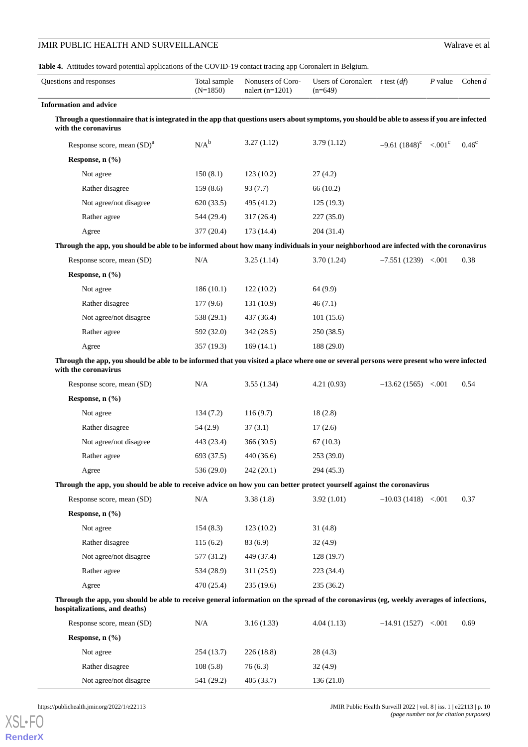<span id="page-9-0"></span>**Table 4.** Attitudes toward potential applications of the COVID-19 contact tracing app Coronalert in Belgium.

| Questions and responses                                                                                                                                                  | Total sample<br>$(N=1850)$ | Nonusers of Coro-<br>nalert $(n=1201)$ | Users of Coronalert $t$ test $(df)$<br>$(n=649)$ |                                    | P value | Cohen $d$      |
|--------------------------------------------------------------------------------------------------------------------------------------------------------------------------|----------------------------|----------------------------------------|--------------------------------------------------|------------------------------------|---------|----------------|
| <b>Information and advice</b>                                                                                                                                            |                            |                                        |                                                  |                                    |         |                |
| Through a questionnaire that is integrated in the app that questions users about symptoms, you should be able to assess if you are infected<br>with the coronavirus      |                            |                                        |                                                  |                                    |         |                |
| Response score, mean $(SD)^a$                                                                                                                                            | $N/A^b$                    | 3.27(1.12)                             | 3.79(1.12)                                       | $-9.61(1848)^c$ < 001 <sup>c</sup> |         | $0.46^{\circ}$ |
| Response, n (%)                                                                                                                                                          |                            |                                        |                                                  |                                    |         |                |
| Not agree                                                                                                                                                                | 150(8.1)                   | 123(10.2)                              | 27(4.2)                                          |                                    |         |                |
| Rather disagree                                                                                                                                                          | 159(8.6)                   | 93 (7.7)                               | 66(10.2)                                         |                                    |         |                |
| Not agree/not disagree                                                                                                                                                   | 620(33.5)                  | 495 (41.2)                             | 125(19.3)                                        |                                    |         |                |
| Rather agree                                                                                                                                                             | 544 (29.4)                 | 317(26.4)                              | 227(35.0)                                        |                                    |         |                |
| Agree                                                                                                                                                                    | 377(20.4)                  | 173(14.4)                              | 204(31.4)                                        |                                    |         |                |
| Through the app, you should be able to be informed about how many individuals in your neighborhood are infected with the coronavirus                                     |                            |                                        |                                                  |                                    |         |                |
| Response score, mean (SD)                                                                                                                                                | N/A                        | 3.25(1.14)                             | 3.70(1.24)                                       | $-7.551(1239) < 0.001$             |         | 0.38           |
| Response, n (%)                                                                                                                                                          |                            |                                        |                                                  |                                    |         |                |
| Not agree                                                                                                                                                                | 186(10.1)                  | 122(10.2)                              | 64 (9.9)                                         |                                    |         |                |
| Rather disagree                                                                                                                                                          | 177(9.6)                   | 131(10.9)                              | 46(7.1)                                          |                                    |         |                |
| Not agree/not disagree                                                                                                                                                   | 538 (29.1)                 | 437 (36.4)                             | 101(15.6)                                        |                                    |         |                |
| Rather agree                                                                                                                                                             | 592 (32.0)                 | 342(28.5)                              | 250(38.5)                                        |                                    |         |                |
| Agree                                                                                                                                                                    | 357(19.3)                  | 169(14.1)                              | 188 (29.0)                                       |                                    |         |                |
| Through the app, you should be able to be informed that you visited a place where one or several persons were present who were infected<br>with the coronavirus          |                            |                                        |                                                  |                                    |         |                |
| Response score, mean (SD)                                                                                                                                                | N/A                        | 3.55(1.34)                             | 4.21(0.93)                                       | $-13.62(1565) < 0.001$             |         | 0.54           |
| Response, $n$ $(\%)$                                                                                                                                                     |                            |                                        |                                                  |                                    |         |                |
| Not agree                                                                                                                                                                | 134(7.2)                   | 116(9.7)                               | 18(2.8)                                          |                                    |         |                |
| Rather disagree                                                                                                                                                          | 54 (2.9)                   | 37(3.1)                                | 17(2.6)                                          |                                    |         |                |
| Not agree/not disagree                                                                                                                                                   | 443 (23.4)                 | 366(30.5)                              | 67(10.3)                                         |                                    |         |                |
| Rather agree                                                                                                                                                             | 693 (37.5)                 | 440(36.6)                              | 253(39.0)                                        |                                    |         |                |
| Agree                                                                                                                                                                    | 536 (29.0)                 | 242 (20.1)                             | 294 (45.3)                                       |                                    |         |                |
| Through the app, you should be able to receive advice on how you can better protect yourself against the coronavirus                                                     |                            |                                        |                                                  |                                    |         |                |
| Response score, mean (SD)                                                                                                                                                | N/A                        | 3.38(1.8)                              | 3.92(1.01)                                       | $-10.03(1418) < .001$              |         | 0.37           |
| Response, n (%)                                                                                                                                                          |                            |                                        |                                                  |                                    |         |                |
| Not agree                                                                                                                                                                | 154(8.3)                   | 123(10.2)                              | 31(4.8)                                          |                                    |         |                |
| Rather disagree                                                                                                                                                          | 115(6.2)                   | 83 (6.9)                               | 32(4.9)                                          |                                    |         |                |
| Not agree/not disagree                                                                                                                                                   | 577 (31.2)                 | 449 (37.4)                             | 128(19.7)                                        |                                    |         |                |
| Rather agree                                                                                                                                                             | 534 (28.9)                 | 311(25.9)                              | 223 (34.4)                                       |                                    |         |                |
| Agree                                                                                                                                                                    | 470 (25.4)                 | 235(19.6)                              | 235 (36.2)                                       |                                    |         |                |
| Through the app, you should be able to receive general information on the spread of the coronavirus (eg, weekly averages of infections,<br>hospitalizations, and deaths) |                            |                                        |                                                  |                                    |         |                |
| Response score, mean (SD)                                                                                                                                                | N/A                        | 3.16(1.33)                             | 4.04(1.13)                                       | $-14.91(1527) < .001$              |         | 0.69           |
| Response, n (%)                                                                                                                                                          |                            |                                        |                                                  |                                    |         |                |
| Not agree                                                                                                                                                                | 254 (13.7)                 | 226 (18.8)                             | 28(4.3)                                          |                                    |         |                |
| Rather disagree                                                                                                                                                          | 108(5.8)                   | 76(6.3)                                | 32(4.9)                                          |                                    |         |                |
| Not agree/not disagree                                                                                                                                                   | 541 (29.2)                 | 405 (33.7)                             | 136 (21.0)                                       |                                    |         |                |

[XSL](http://www.w3.org/Style/XSL)•FO

**[RenderX](http://www.renderx.com/)**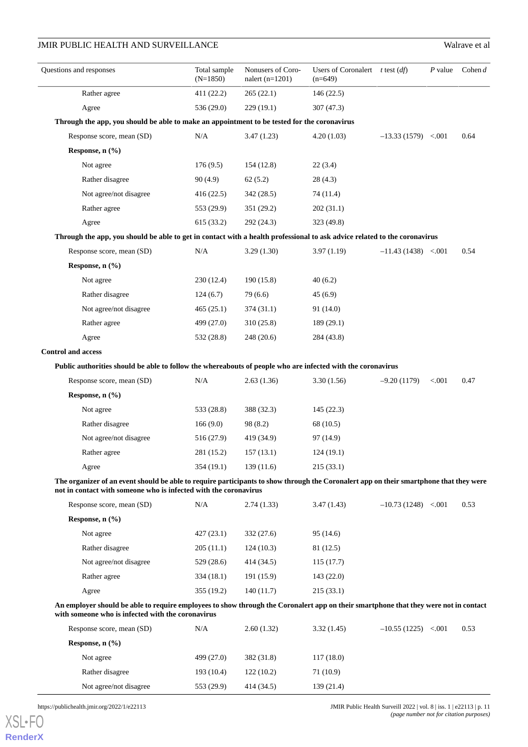| Questions and responses                                                                                                                                                                                    | Total sample<br>$(N=1850)$ | Nonusers of Coro-<br>nalert $(n=1201)$ | Users of Coronalert $t$ test $(df)$<br>$(n=649)$ |                        | $P$ value | Cohen $d$ |
|------------------------------------------------------------------------------------------------------------------------------------------------------------------------------------------------------------|----------------------------|----------------------------------------|--------------------------------------------------|------------------------|-----------|-----------|
| Rather agree                                                                                                                                                                                               | 411 (22.2)                 | 265(22.1)                              | 146 (22.5)                                       |                        |           |           |
| Agree                                                                                                                                                                                                      | 536 (29.0)                 | 229(19.1)                              | 307 (47.3)                                       |                        |           |           |
| Through the app, you should be able to make an appointment to be tested for the coronavirus                                                                                                                |                            |                                        |                                                  |                        |           |           |
| Response score, mean (SD)                                                                                                                                                                                  | N/A                        | 3.47(1.23)                             | 4.20(1.03)                                       | $-13.33(1579) < .001$  |           | 0.64      |
| Response, n (%)                                                                                                                                                                                            |                            |                                        |                                                  |                        |           |           |
| Not agree                                                                                                                                                                                                  | 176(9.5)                   | 154 (12.8)                             | 22(3.4)                                          |                        |           |           |
| Rather disagree                                                                                                                                                                                            | 90(4.9)                    | 62(5.2)                                | 28(4.3)                                          |                        |           |           |
| Not agree/not disagree                                                                                                                                                                                     | 416 (22.5)                 | 342 (28.5)                             | 74 (11.4)                                        |                        |           |           |
| Rather agree                                                                                                                                                                                               | 553 (29.9)                 | 351 (29.2)                             | 202(31.1)                                        |                        |           |           |
| Agree                                                                                                                                                                                                      | 615 (33.2)                 | 292 (24.3)                             | 323 (49.8)                                       |                        |           |           |
| Through the app, you should be able to get in contact with a health professional to ask advice related to the coronavirus                                                                                  |                            |                                        |                                                  |                        |           |           |
| Response score, mean (SD)                                                                                                                                                                                  | N/A                        | 3.29(1.30)                             | 3.97(1.19)                                       | $-11.43(1438) < 0.001$ |           | 0.54      |
| Response, n (%)                                                                                                                                                                                            |                            |                                        |                                                  |                        |           |           |
| Not agree                                                                                                                                                                                                  | 230 (12.4)                 | 190 (15.8)                             | 40(6.2)                                          |                        |           |           |
| Rather disagree                                                                                                                                                                                            | 124(6.7)                   | 79 (6.6)                               | 45 (6.9)                                         |                        |           |           |
| Not agree/not disagree                                                                                                                                                                                     | 465 (25.1)                 | 374(31.1)                              | 91 (14.0)                                        |                        |           |           |
| Rather agree                                                                                                                                                                                               | 499 (27.0)                 | 310 (25.8)                             | 189 (29.1)                                       |                        |           |           |
| Agree                                                                                                                                                                                                      | 532 (28.8)                 | 248 (20.6)                             | 284 (43.8)                                       |                        |           |           |
| <b>Control and access</b>                                                                                                                                                                                  |                            |                                        |                                                  |                        |           |           |
| Public authorities should be able to follow the whereabouts of people who are infected with the coronavirus                                                                                                |                            |                                        |                                                  |                        |           |           |
| Response score, mean (SD)                                                                                                                                                                                  | N/A                        | 2.63(1.36)                             | 3.30(1.56)                                       | $-9.20(1179)$          | < .001    | 0.47      |
| Response, n (%)                                                                                                                                                                                            |                            |                                        |                                                  |                        |           |           |
| Not agree                                                                                                                                                                                                  | 533 (28.8)                 | 388 (32.3)                             | 145 (22.3)                                       |                        |           |           |
| Rather disagree                                                                                                                                                                                            | 166(9.0)                   | 98 (8.2)                               | 68 (10.5)                                        |                        |           |           |
| Not agree/not disagree                                                                                                                                                                                     | 516 (27.9)                 | 419 (34.9)                             | 97 (14.9)                                        |                        |           |           |
| Rather agree                                                                                                                                                                                               | 281 (15.2)                 | 157(13.1)                              | 124(19.1)                                        |                        |           |           |
| Agree                                                                                                                                                                                                      | 354(19.1)                  | 139(11.6)                              | 215(33.1)                                        |                        |           |           |
| The organizer of an event should be able to require participants to show through the Coronalert app on their smartphone that they were<br>not in contact with someone who is infected with the coronavirus |                            |                                        |                                                  |                        |           |           |
| Response score, mean (SD)                                                                                                                                                                                  | N/A                        | 2.74(1.33)                             | 3.47(1.43)                                       | $-10.73(1248) < .001$  |           | 0.53      |
| Response, n (%)                                                                                                                                                                                            |                            |                                        |                                                  |                        |           |           |
| Not agree                                                                                                                                                                                                  | 427(23.1)                  | 332(27.6)                              | 95 (14.6)                                        |                        |           |           |
| Rather disagree                                                                                                                                                                                            | 205(11.1)                  | 124(10.3)                              | 81 (12.5)                                        |                        |           |           |
| Not agree/not disagree                                                                                                                                                                                     | 529 (28.6)                 | 414 (34.5)                             | 115(17.7)                                        |                        |           |           |
| Rather agree                                                                                                                                                                                               | 334 (18.1)                 | 191 (15.9)                             | 143 (22.0)                                       |                        |           |           |
| Agree                                                                                                                                                                                                      | 355 (19.2)                 | 140(11.7)                              | 215 (33.1)                                       |                        |           |           |
| An employer should be able to require employees to show through the Coronalert app on their smartphone that they were not in contact<br>with someone who is infected with the coronavirus                  |                            |                                        |                                                  |                        |           |           |
| Response score, mean (SD)                                                                                                                                                                                  | N/A                        | 2.60(1.32)                             | 3.32(1.45)                                       | $-10.55(1225)$ < 001   |           | 0.53      |
| Response, n (%)                                                                                                                                                                                            |                            |                                        |                                                  |                        |           |           |
| Not agree                                                                                                                                                                                                  | 499 (27.0)                 | 382 (31.8)                             | 117 (18.0)                                       |                        |           |           |

Rather disagree 193 (10.4) 122 (10.2) 71 (10.9) Not agree/not disagree 553 (29.9) 414 (34.5) 139 (21.4)

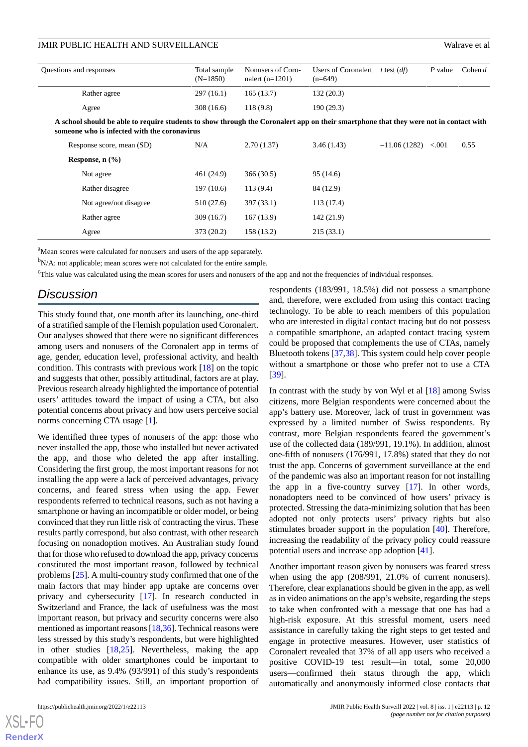| Questions and responses |                                                                                                                                                                                       | Total sample<br>$(N=1850)$ | Nonusers of Coro-<br>nalert $(n=1201)$ | Users of Coronalert<br>$(n=649)$ | t test $(df)$  | P value | Cohen $d$ |  |  |
|-------------------------|---------------------------------------------------------------------------------------------------------------------------------------------------------------------------------------|----------------------------|----------------------------------------|----------------------------------|----------------|---------|-----------|--|--|
|                         | Rather agree                                                                                                                                                                          | 297(16.1)                  | 165(13.7)                              | 132(20.3)                        |                |         |           |  |  |
|                         | Agree                                                                                                                                                                                 | 308 (16.6)                 | 118(9.8)                               | 190(29.3)                        |                |         |           |  |  |
|                         | A school should be able to require students to show through the Coronalert app on their smartphone that they were not in contact with<br>someone who is infected with the coronavirus |                            |                                        |                                  |                |         |           |  |  |
|                         | Response score, mean (SD)                                                                                                                                                             | N/A                        | 2.70(1.37)                             | 3.46(1.43)                       | $-11.06(1282)$ | < 0.001 | 0.55      |  |  |
|                         | Response, $n$ $(\frac{9}{6})$                                                                                                                                                         |                            |                                        |                                  |                |         |           |  |  |
|                         | Not agree                                                                                                                                                                             | 461 (24.9)                 | 366(30.5)                              | 95 (14.6)                        |                |         |           |  |  |
|                         | Rather disagree                                                                                                                                                                       | 197(10.6)                  | 113(9.4)                               | 84 (12.9)                        |                |         |           |  |  |
|                         | Not agree/not disagree                                                                                                                                                                | 510 (27.6)                 | 397 (33.1)                             | 113(17.4)                        |                |         |           |  |  |
|                         | Rather agree                                                                                                                                                                          | 309 (16.7)                 | 167(13.9)                              | 142 (21.9)                       |                |         |           |  |  |
|                         | Agree                                                                                                                                                                                 | 373 (20.2)                 | 158 (13.2)                             | 215(33.1)                        |                |         |           |  |  |

<sup>a</sup>Mean scores were calculated for nonusers and users of the app separately.

 $b_{N/A}$ : not applicable; mean scores were not calculated for the entire sample.

<sup>c</sup>This value was calculated using the mean scores for users and nonusers of the app and not the frequencies of individual responses.

### *Discussion*

This study found that, one month after its launching, one-third of a stratified sample of the Flemish population used Coronalert. Our analyses showed that there were no significant differences among users and nonusers of the Coronalert app in terms of age, gender, education level, professional activity, and health condition. This contrasts with previous work [\[18](#page-14-8)] on the topic and suggests that other, possibly attitudinal, factors are at play. Previous research already highlighted the importance of potential users' attitudes toward the impact of using a CTA, but also potential concerns about privacy and how users perceive social norms concerning CTA usage [\[1](#page-13-0)].

We identified three types of nonusers of the app: those who never installed the app, those who installed but never activated the app, and those who deleted the app after installing. Considering the first group, the most important reasons for not installing the app were a lack of perceived advantages, privacy concerns, and feared stress when using the app. Fewer respondents referred to technical reasons, such as not having a smartphone or having an incompatible or older model, or being convinced that they run little risk of contracting the virus. These results partly correspond, but also contrast, with other research focusing on nonadoption motives. An Australian study found that for those who refused to download the app, privacy concerns constituted the most important reason, followed by technical problems [\[25](#page-14-9)]. A multi-country study confirmed that one of the main factors that may hinder app uptake are concerns over privacy and cybersecurity [\[17](#page-14-15)]. In research conducted in Switzerland and France, the lack of usefulness was the most important reason, but privacy and security concerns were also mentioned as important reasons [\[18](#page-14-8)[,36](#page-15-4)]. Technical reasons were less stressed by this study's respondents, but were highlighted in other studies [[18](#page-14-8)[,25](#page-14-9)]. Nevertheless, making the app compatible with older smartphones could be important to enhance its use, as 9.4% (93/991) of this study's respondents had compatibility issues. Still, an important proportion of

 $XS$  • FC **[RenderX](http://www.renderx.com/)** respondents (183/991, 18.5%) did not possess a smartphone and, therefore, were excluded from using this contact tracing technology. To be able to reach members of this population who are interested in digital contact tracing but do not possess a compatible smartphone, an adapted contact tracing system could be proposed that complements the use of CTAs, namely Bluetooth tokens [\[37](#page-15-5),[38\]](#page-15-6). This system could help cover people without a smartphone or those who prefer not to use a CTA [[39\]](#page-15-7).

In contrast with the study by von Wyl et al  $[18]$  $[18]$  among Swiss citizens, more Belgian respondents were concerned about the app's battery use. Moreover, lack of trust in government was expressed by a limited number of Swiss respondents. By contrast, more Belgian respondents feared the government's use of the collected data (189/991, 19.1%). In addition, almost one-fifth of nonusers (176/991, 17.8%) stated that they do not trust the app. Concerns of government surveillance at the end of the pandemic was also an important reason for not installing the app in a five-country survey [\[17](#page-14-15)]. In other words, nonadopters need to be convinced of how users' privacy is protected. Stressing the data-minimizing solution that has been adopted not only protects users' privacy rights but also stimulates broader support in the population [[40\]](#page-15-8). Therefore, increasing the readability of the privacy policy could reassure potential users and increase app adoption [\[41](#page-15-9)].

Another important reason given by nonusers was feared stress when using the app (208/991, 21.0% of current nonusers). Therefore, clear explanations should be given in the app, as well as in video animations on the app's website, regarding the steps to take when confronted with a message that one has had a high-risk exposure. At this stressful moment, users need assistance in carefully taking the right steps to get tested and engage in protective measures. However, user statistics of Coronalert revealed that 37% of all app users who received a positive COVID-19 test result—in total, some 20,000 users—confirmed their status through the app, which automatically and anonymously informed close contacts that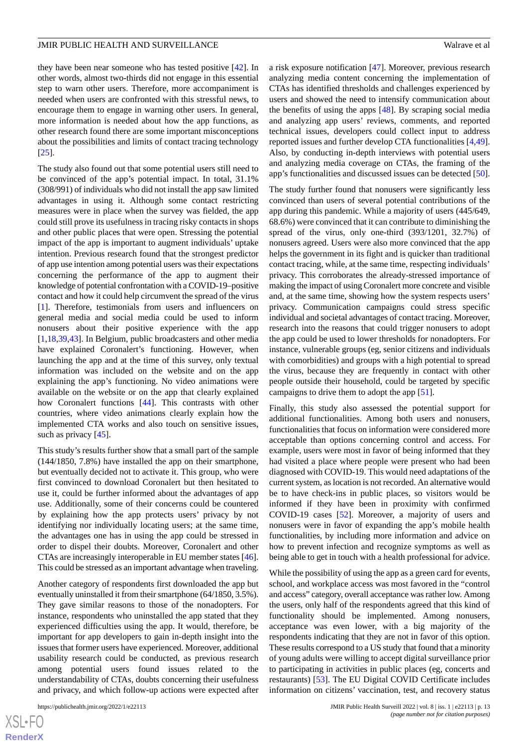[[25\]](#page-14-9).

they have been near someone who has tested positive [\[42](#page-15-10)]. In other words, almost two-thirds did not engage in this essential step to warn other users. Therefore, more accompaniment is needed when users are confronted with this stressful news, to encourage them to engage in warning other users. In general, more information is needed about how the app functions, as other research found there are some important misconceptions about the possibilities and limits of contact tracing technology

The study also found out that some potential users still need to be convinced of the app's potential impact. In total, 31.1% (308/991) of individuals who did not install the app saw limited advantages in using it. Although some contact restricting measures were in place when the survey was fielded, the app could still prove its usefulness in tracing risky contacts in shops and other public places that were open. Stressing the potential impact of the app is important to augment individuals' uptake intention. Previous research found that the strongest predictor of app use intention among potential users was their expectations concerning the performance of the app to augment their knowledge of potential confrontation with a COVID-19–positive contact and how it could help circumvent the spread of the virus [[1\]](#page-13-0). Therefore, testimonials from users and influencers on general media and social media could be used to inform nonusers about their positive experience with the app [[1](#page-13-0)[,18](#page-14-8),[39](#page-15-7)[,43](#page-15-11)]. In Belgium, public broadcasters and other media have explained Coronalert's functioning. However, when launching the app and at the time of this survey, only textual information was included on the website and on the app explaining the app's functioning. No video animations were available on the website or on the app that clearly explained how Coronalert functions [\[44](#page-15-12)]. This contrasts with other countries, where video animations clearly explain how the implemented CTA works and also touch on sensitive issues, such as privacy [\[45](#page-15-13)].

This study's results further show that a small part of the sample (144/1850, 7.8%) have installed the app on their smartphone, but eventually decided not to activate it. This group, who were first convinced to download Coronalert but then hesitated to use it, could be further informed about the advantages of app use. Additionally, some of their concerns could be countered by explaining how the app protects users' privacy by not identifying nor individually locating users; at the same time, the advantages one has in using the app could be stressed in order to dispel their doubts. Moreover, Coronalert and other CTAs are increasingly interoperable in EU member states [[46\]](#page-15-14). This could be stressed as an important advantage when traveling.

Another category of respondents first downloaded the app but eventually uninstalled it from their smartphone (64/1850, 3.5%). They gave similar reasons to those of the nonadopters. For instance, respondents who uninstalled the app stated that they experienced difficulties using the app. It would, therefore, be important for app developers to gain in-depth insight into the issues that former users have experienced. Moreover, additional usability research could be conducted, as previous research among potential users found issues related to the understandability of CTAs, doubts concerning their usefulness and privacy, and which follow-up actions were expected after

a risk exposure notification [[47\]](#page-15-15). Moreover, previous research analyzing media content concerning the implementation of CTAs has identified thresholds and challenges experienced by users and showed the need to intensify communication about the benefits of using the apps [[48\]](#page-15-16). By scraping social media and analyzing app users' reviews, comments, and reported technical issues, developers could collect input to address reported issues and further develop CTA functionalities [\[4](#page-13-3),[49\]](#page-15-17). Also, by conducting in-depth interviews with potential users and analyzing media coverage on CTAs, the framing of the app's functionalities and discussed issues can be detected [[50\]](#page-15-18).

The study further found that nonusers were significantly less convinced than users of several potential contributions of the app during this pandemic. While a majority of users (445/649, 68.6%) were convinced that it can contribute to diminishing the spread of the virus, only one-third (393/1201, 32.7%) of nonusers agreed. Users were also more convinced that the app helps the government in its fight and is quicker than traditional contact tracing, while, at the same time, respecting individuals' privacy. This corroborates the already-stressed importance of making the impact of using Coronalert more concrete and visible and, at the same time, showing how the system respects users' privacy. Communication campaigns could stress specific individual and societal advantages of contact tracing. Moreover, research into the reasons that could trigger nonusers to adopt the app could be used to lower thresholds for nonadopters. For instance, vulnerable groups (eg, senior citizens and individuals with comorbidities) and groups with a high potential to spread the virus, because they are frequently in contact with other people outside their household, could be targeted by specific campaigns to drive them to adopt the app [\[51](#page-15-19)].

Finally, this study also assessed the potential support for additional functionalities. Among both users and nonusers, functionalities that focus on information were considered more acceptable than options concerning control and access. For example, users were most in favor of being informed that they had visited a place where people were present who had been diagnosed with COVID-19. This would need adaptations of the current system, as location is not recorded. An alternative would be to have check-ins in public places, so visitors would be informed if they have been in proximity with confirmed COVID-19 cases [[52\]](#page-15-20). Moreover, a majority of users and nonusers were in favor of expanding the app's mobile health functionalities, by including more information and advice on how to prevent infection and recognize symptoms as well as being able to get in touch with a health professional for advice.

While the possibility of using the app as a green card for events, school, and workplace access was most favored in the "control and access" category, overall acceptance was rather low. Among the users, only half of the respondents agreed that this kind of functionality should be implemented. Among nonusers, acceptance was even lower, with a big majority of the respondents indicating that they are not in favor of this option. These results correspond to a US study that found that a minority of young adults were willing to accept digital surveillance prior to participating in activities in public places (eg, concerts and restaurants) [\[53](#page-15-21)]. The EU Digital COVID Certificate includes information on citizens' vaccination, test, and recovery status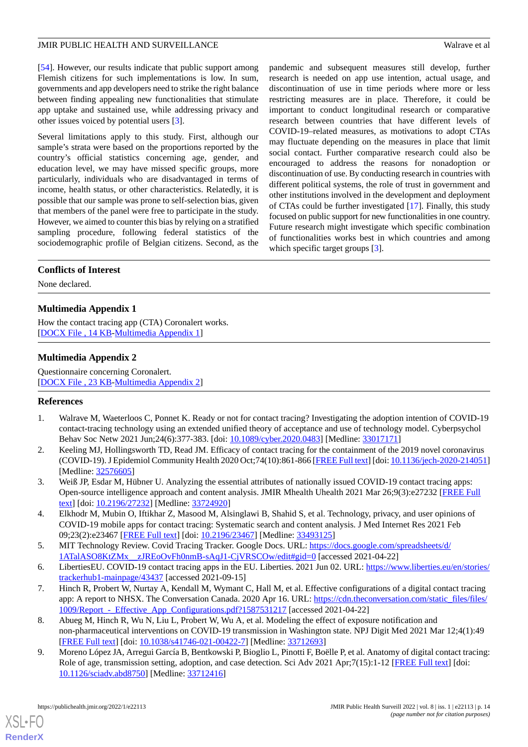[[54\]](#page-16-0). However, our results indicate that public support among Flemish citizens for such implementations is low. In sum, governments and app developers need to strike the right balance between finding appealing new functionalities that stimulate app uptake and sustained use, while addressing privacy and other issues voiced by potential users [\[3](#page-13-2)].

Several limitations apply to this study. First, although our sample's strata were based on the proportions reported by the country's official statistics concerning age, gender, and education level, we may have missed specific groups, more particularly, individuals who are disadvantaged in terms of income, health status, or other characteristics. Relatedly, it is possible that our sample was prone to self-selection bias, given that members of the panel were free to participate in the study. However, we aimed to counter this bias by relying on a stratified sampling procedure, following federal statistics of the sociodemographic profile of Belgian citizens. Second, as the pandemic and subsequent measures still develop, further research is needed on app use intention, actual usage, and discontinuation of use in time periods where more or less restricting measures are in place. Therefore, it could be important to conduct longitudinal research or comparative research between countries that have different levels of COVID-19–related measures, as motivations to adopt CTAs may fluctuate depending on the measures in place that limit social contact. Further comparative research could also be encouraged to address the reasons for nonadoption or discontinuation of use. By conducting research in countries with different political systems, the role of trust in government and other institutions involved in the development and deployment of CTAs could be further investigated [\[17](#page-14-15)]. Finally, this study focused on public support for new functionalities in one country. Future research might investigate which specific combination of functionalities works best in which countries and among which specific target groups [\[3](#page-13-2)].

### **Conflicts of Interest**

<span id="page-13-9"></span>None declared.

### **Multimedia Appendix 1**

<span id="page-13-10"></span>How the contact tracing app (CTA) Coronalert works. [[DOCX File , 14 KB](https://jmir.org/api/download?alt_name=publichealth_v8i1e22113_app1.docx&filename=9ebb5a0eeed0b76be330e801d35662f8.docx)-[Multimedia Appendix 1\]](https://jmir.org/api/download?alt_name=publichealth_v8i1e22113_app1.docx&filename=9ebb5a0eeed0b76be330e801d35662f8.docx)

### **Multimedia Appendix 2**

<span id="page-13-0"></span>Questionnaire concerning Coronalert. [[DOCX File , 23 KB](https://jmir.org/api/download?alt_name=publichealth_v8i1e22113_app2.docx&filename=de8c17c50d45ebd1406b42dae8e2d96d.docx)-[Multimedia Appendix 2\]](https://jmir.org/api/download?alt_name=publichealth_v8i1e22113_app2.docx&filename=de8c17c50d45ebd1406b42dae8e2d96d.docx)

### <span id="page-13-1"></span>**References**

- <span id="page-13-2"></span>1. Walrave M, Waeterloos C, Ponnet K. Ready or not for contact tracing? Investigating the adoption intention of COVID-19 contact-tracing technology using an extended unified theory of acceptance and use of technology model. Cyberpsychol Behav Soc Netw 2021 Jun;24(6):377-383. [doi: [10.1089/cyber.2020.0483](http://dx.doi.org/10.1089/cyber.2020.0483)] [Medline: [33017171\]](http://www.ncbi.nlm.nih.gov/entrez/query.fcgi?cmd=Retrieve&db=PubMed&list_uids=33017171&dopt=Abstract)
- <span id="page-13-3"></span>2. Keeling MJ, Hollingsworth TD, Read JM. Efficacy of contact tracing for the containment of the 2019 novel coronavirus (COVID-19). J Epidemiol Community Health 2020 Oct;74(10):861-866 [\[FREE Full text](http://jech.bmj.com/lookup/pmidlookup?view=long&pmid=32576605)] [doi: [10.1136/jech-2020-214051](http://dx.doi.org/10.1136/jech-2020-214051)] [Medline: [32576605](http://www.ncbi.nlm.nih.gov/entrez/query.fcgi?cmd=Retrieve&db=PubMed&list_uids=32576605&dopt=Abstract)]
- <span id="page-13-4"></span>3. Weiß JP, Esdar M, Hübner U. Analyzing the essential attributes of nationally issued COVID-19 contact tracing apps: Open-source intelligence approach and content analysis. JMIR Mhealth Uhealth 2021 Mar 26;9(3):e27232 [[FREE Full](https://mhealth.jmir.org/2021/3/e27232/) [text](https://mhealth.jmir.org/2021/3/e27232/)] [doi: [10.2196/27232\]](http://dx.doi.org/10.2196/27232) [Medline: [33724920\]](http://www.ncbi.nlm.nih.gov/entrez/query.fcgi?cmd=Retrieve&db=PubMed&list_uids=33724920&dopt=Abstract)
- <span id="page-13-6"></span><span id="page-13-5"></span>4. Elkhodr M, Mubin O, Iftikhar Z, Masood M, Alsinglawi B, Shahid S, et al. Technology, privacy, and user opinions of COVID-19 mobile apps for contact tracing: Systematic search and content analysis. J Med Internet Res 2021 Feb 09;23(2):e23467 [\[FREE Full text](https://www.jmir.org/2021/2/e23467/)] [doi: [10.2196/23467\]](http://dx.doi.org/10.2196/23467) [Medline: [33493125\]](http://www.ncbi.nlm.nih.gov/entrez/query.fcgi?cmd=Retrieve&db=PubMed&list_uids=33493125&dopt=Abstract)
- 5. MIT Technology Review. Covid Tracing Tracker. Google Docs. URL: [https://docs.google.com/spreadsheets/d/](https://docs.google.com/spreadsheets/d/1ATalASO8KtZMx__zJREoOvFh0nmB-sAqJ1-CjVRSCOw/edit#gid=0) [1ATalASO8KtZMx\\_\\_zJREoOvFh0nmB-sAqJ1-CjVRSCOw/edit#gid=0](https://docs.google.com/spreadsheets/d/1ATalASO8KtZMx__zJREoOvFh0nmB-sAqJ1-CjVRSCOw/edit#gid=0) [accessed 2021-04-22]
- <span id="page-13-7"></span>6. LibertiesEU. COVID-19 contact tracing apps in the EU. Liberties. 2021 Jun 02. URL: [https://www.liberties.eu/en/stories/](https://www.liberties.eu/en/stories/trackerhub1-mainpage/43437) [trackerhub1-mainpage/43437](https://www.liberties.eu/en/stories/trackerhub1-mainpage/43437) [accessed 2021-09-15]
- <span id="page-13-8"></span>7. Hinch R, Probert W, Nurtay A, Kendall M, Wymant C, Hall M, et al. Effective configurations of a digital contact tracing app: A report to NHSX. The Conversation Canada. 2020 Apr 16. URL: [https://cdn.theconversation.com/static\\_files/files/](https://cdn.theconversation.com/static_files/files/1009/Report_-_Effective_App_Configurations.pdf?1587531217) [1009/Report\\_-\\_Effective\\_App\\_Configurations.pdf?1587531217](https://cdn.theconversation.com/static_files/files/1009/Report_-_Effective_App_Configurations.pdf?1587531217) [accessed 2021-04-22]
- 8. Abueg M, Hinch R, Wu N, Liu L, Probert W, Wu A, et al. Modeling the effect of exposure notification and non-pharmaceutical interventions on COVID-19 transmission in Washington state. NPJ Digit Med 2021 Mar 12;4(1):49 [[FREE Full text](https://doi.org/10.1038/s41746-021-00422-7)] [doi: [10.1038/s41746-021-00422-7\]](http://dx.doi.org/10.1038/s41746-021-00422-7) [Medline: [33712693](http://www.ncbi.nlm.nih.gov/entrez/query.fcgi?cmd=Retrieve&db=PubMed&list_uids=33712693&dopt=Abstract)]
- 9. Moreno López JA, Arregui García B, Bentkowski P, Bioglio L, Pinotti F, Boëlle P, et al. Anatomy of digital contact tracing: Role of age, transmission setting, adoption, and case detection. Sci Adv 2021 Apr;7(15):1-12 [\[FREE Full text\]](https://doi.org/10.1126/sciadv.abd8750) [doi: [10.1126/sciadv.abd8750\]](http://dx.doi.org/10.1126/sciadv.abd8750) [Medline: [33712416](http://www.ncbi.nlm.nih.gov/entrez/query.fcgi?cmd=Retrieve&db=PubMed&list_uids=33712416&dopt=Abstract)]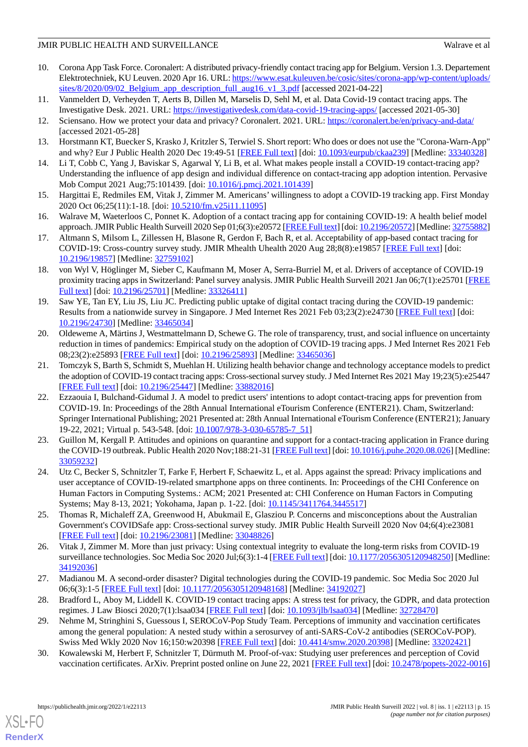- <span id="page-14-0"></span>10. Corona App Task Force. Coronalert: A distributed privacy-friendly contact tracing app for Belgium. Version 1.3. Departement Elektrotechniek, KU Leuven. 2020 Apr 16. URL: [https://www.esat.kuleuven.be/cosic/sites/corona-app/wp-content/uploads/](https://www.esat.kuleuven.be/cosic/sites/corona-app/wp-content/uploads/sites/8/2020/09/02_Belgium_app_description_full_aug16_v1_3.pdf) [sites/8/2020/09/02\\_Belgium\\_app\\_description\\_full\\_aug16\\_v1\\_3.pdf](https://www.esat.kuleuven.be/cosic/sites/corona-app/wp-content/uploads/sites/8/2020/09/02_Belgium_app_description_full_aug16_v1_3.pdf) [accessed 2021-04-22]
- <span id="page-14-2"></span><span id="page-14-1"></span>11. Vanmeldert D, Verheyden T, Aerts B, Dillen M, Marselis D, Sehl M, et al. Data Covid-19 contact tracing apps. The Investigative Desk. 2021. URL: <https://investigativedesk.com/data-covid-19-tracing-apps/> [accessed 2021-05-30]
- <span id="page-14-3"></span>12. Sciensano. How we protect your data and privacy? Coronalert. 2021. URL: <https://coronalert.be/en/privacy-and-data/> [accessed 2021-05-28]
- <span id="page-14-7"></span>13. Horstmann KT, Buecker S, Krasko J, Kritzler S, Terwiel S. Short report: Who does or does not use the "Corona-Warn-App" and why? Eur J Public Health 2020 Dec 19:49-51 [\[FREE Full text\]](http://europepmc.org/abstract/MED/33340328) [doi: [10.1093/eurpub/ckaa239\]](http://dx.doi.org/10.1093/eurpub/ckaa239) [Medline: [33340328\]](http://www.ncbi.nlm.nih.gov/entrez/query.fcgi?cmd=Retrieve&db=PubMed&list_uids=33340328&dopt=Abstract)
- <span id="page-14-4"></span>14. Li T, Cobb C, Yang J, Baviskar S, Agarwal Y, Li B, et al. What makes people install a COVID-19 contact-tracing app? Understanding the influence of app design and individual difference on contact-tracing app adoption intention. Pervasive Mob Comput 2021 Aug;75:101439. [doi: [10.1016/j.pmcj.2021.101439\]](http://dx.doi.org/10.1016/j.pmcj.2021.101439)
- 15. Hargittai E, Redmiles EM, Vitak J, Zimmer M. Americans' willingness to adopt a COVID-19 tracking app. First Monday 2020 Oct 06;25(11):1-18. [doi: [10.5210/fm.v25i11.11095](http://dx.doi.org/10.5210/fm.v25i11.11095)]
- <span id="page-14-15"></span>16. Walrave M, Waeterloos C, Ponnet K. Adoption of a contact tracing app for containing COVID-19: A health belief model approach. JMIR Public Health Surveill 2020 Sep 01;6(3):e20572 [\[FREE Full text](https://publichealth.jmir.org/2020/3/e20572/)] [doi: [10.2196/20572\]](http://dx.doi.org/10.2196/20572) [Medline: [32755882\]](http://www.ncbi.nlm.nih.gov/entrez/query.fcgi?cmd=Retrieve&db=PubMed&list_uids=32755882&dopt=Abstract)
- <span id="page-14-8"></span>17. Altmann S, Milsom L, Zillessen H, Blasone R, Gerdon F, Bach R, et al. Acceptability of app-based contact tracing for COVID-19: Cross-country survey study. JMIR Mhealth Uhealth 2020 Aug 28;8(8):e19857 [\[FREE Full text\]](https://mhealth.jmir.org/2020/8/e19857/) [doi: [10.2196/19857\]](http://dx.doi.org/10.2196/19857) [Medline: [32759102\]](http://www.ncbi.nlm.nih.gov/entrez/query.fcgi?cmd=Retrieve&db=PubMed&list_uids=32759102&dopt=Abstract)
- 18. von Wyl V, Höglinger M, Sieber C, Kaufmann M, Moser A, Serra-Burriel M, et al. Drivers of acceptance of COVID-19 proximity tracing apps in Switzerland: Panel survey analysis. JMIR Public Health Surveill 2021 Jan 06;7(1):e25701 [\[FREE](https://publichealth.jmir.org/2021/1/e25701/) [Full text\]](https://publichealth.jmir.org/2021/1/e25701/) [doi: [10.2196/25701\]](http://dx.doi.org/10.2196/25701) [Medline: [33326411](http://www.ncbi.nlm.nih.gov/entrez/query.fcgi?cmd=Retrieve&db=PubMed&list_uids=33326411&dopt=Abstract)]
- 19. Saw YE, Tan EY, Liu JS, Liu JC. Predicting public uptake of digital contact tracing during the COVID-19 pandemic: Results from a nationwide survey in Singapore. J Med Internet Res 2021 Feb 03;23(2):e24730 [[FREE Full text](https://www.jmir.org/2021/2/e24730/)] [doi: [10.2196/24730\]](http://dx.doi.org/10.2196/24730) [Medline: [33465034\]](http://www.ncbi.nlm.nih.gov/entrez/query.fcgi?cmd=Retrieve&db=PubMed&list_uids=33465034&dopt=Abstract)
- 20. Oldeweme A, Märtins J, Westmattelmann D, Schewe G. The role of transparency, trust, and social influence on uncertainty reduction in times of pandemics: Empirical study on the adoption of COVID-19 tracing apps. J Med Internet Res 2021 Feb 08;23(2):e25893 [\[FREE Full text](https://www.jmir.org/2021/2/e25893/)] [doi: [10.2196/25893\]](http://dx.doi.org/10.2196/25893) [Medline: [33465036\]](http://www.ncbi.nlm.nih.gov/entrez/query.fcgi?cmd=Retrieve&db=PubMed&list_uids=33465036&dopt=Abstract)
- 21. Tomczyk S, Barth S, Schmidt S, Muehlan H. Utilizing health behavior change and technology acceptance models to predict the adoption of COVID-19 contact tracing apps: Cross-sectional survey study. J Med Internet Res 2021 May 19;23(5):e25447 [[FREE Full text](https://www.jmir.org/2021/5/e25447/)] [doi: [10.2196/25447\]](http://dx.doi.org/10.2196/25447) [Medline: [33882016\]](http://www.ncbi.nlm.nih.gov/entrez/query.fcgi?cmd=Retrieve&db=PubMed&list_uids=33882016&dopt=Abstract)
- <span id="page-14-5"></span>22. Ezzaouia I, Bulchand-Gidumal J. A model to predict users' intentions to adopt contact-tracing apps for prevention from COVID-19. In: Proceedings of the 28th Annual International eTourism Conference (ENTER21). Cham, Switzerland: Springer International Publishing; 2021 Presented at: 28th Annual International eTourism Conference (ENTER21); January 19-22, 2021; Virtual p. 543-548. [doi: [10.1007/978-3-030-65785-7\\_51\]](http://dx.doi.org/10.1007/978-3-030-65785-7_51)
- <span id="page-14-6"></span>23. Guillon M, Kergall P. Attitudes and opinions on quarantine and support for a contact-tracing application in France during the COVID-19 outbreak. Public Health 2020 Nov;188:21-31 [\[FREE Full text\]](http://europepmc.org/abstract/MED/33059232) [doi: [10.1016/j.puhe.2020.08.026](http://dx.doi.org/10.1016/j.puhe.2020.08.026)] [Medline: [33059232](http://www.ncbi.nlm.nih.gov/entrez/query.fcgi?cmd=Retrieve&db=PubMed&list_uids=33059232&dopt=Abstract)]
- <span id="page-14-10"></span><span id="page-14-9"></span>24. Utz C, Becker S, Schnitzler T, Farke F, Herbert F, Schaewitz L, et al. Apps against the spread: Privacy implications and user acceptance of COVID-19-related smartphone apps on three continents. In: Proceedings of the CHI Conference on Human Factors in Computing Systems.: ACM; 2021 Presented at: CHI Conference on Human Factors in Computing Systems; May 8-13, 2021; Yokohama, Japan p. 1-22. [doi: [10.1145/3411764.3445517](http://dx.doi.org/10.1145/3411764.3445517)]
- <span id="page-14-11"></span>25. Thomas R, Michaleff ZA, Greenwood H, Abukmail E, Glasziou P. Concerns and misconceptions about the Australian Government's COVIDSafe app: Cross-sectional survey study. JMIR Public Health Surveill 2020 Nov 04;6(4):e23081 [[FREE Full text](https://publichealth.jmir.org/2020/4/e23081/)] [doi: [10.2196/23081\]](http://dx.doi.org/10.2196/23081) [Medline: [33048826\]](http://www.ncbi.nlm.nih.gov/entrez/query.fcgi?cmd=Retrieve&db=PubMed&list_uids=33048826&dopt=Abstract)
- <span id="page-14-13"></span><span id="page-14-12"></span>26. Vitak J, Zimmer M. More than just privacy: Using contextual integrity to evaluate the long-term risks from COVID-19 surveillance technologies. Soc Media Soc 2020 Jul;6(3):1-4 [\[FREE Full text\]](https://journals.sagepub.com/doi/10.1177/2056305120948250?url_ver=Z39.88-2003&rfr_id=ori:rid:crossref.org&rfr_dat=cr_pub%3dpubmed) [doi: [10.1177/2056305120948250](http://dx.doi.org/10.1177/2056305120948250)] [Medline: [34192036](http://www.ncbi.nlm.nih.gov/entrez/query.fcgi?cmd=Retrieve&db=PubMed&list_uids=34192036&dopt=Abstract)]
- <span id="page-14-14"></span>27. Madianou M. A second-order disaster? Digital technologies during the COVID-19 pandemic. Soc Media Soc 2020 Jul 06;6(3):1-5 [[FREE Full text](https://journals.sagepub.com/doi/10.1177/2056305120948168?url_ver=Z39.88-2003&rfr_id=ori:rid:crossref.org&rfr_dat=cr_pub%3dpubmed)] [doi: [10.1177/2056305120948168\]](http://dx.doi.org/10.1177/2056305120948168) [Medline: [34192027\]](http://www.ncbi.nlm.nih.gov/entrez/query.fcgi?cmd=Retrieve&db=PubMed&list_uids=34192027&dopt=Abstract)
- 28. Bradford L, Aboy M, Liddell K. COVID-19 contact tracing apps: A stress test for privacy, the GDPR, and data protection regimes. J Law Biosci 2020;7(1):lsaa034 [\[FREE Full text\]](http://europepmc.org/abstract/MED/32728470) [doi: [10.1093/jlb/lsaa034](http://dx.doi.org/10.1093/jlb/lsaa034)] [Medline: [32728470\]](http://www.ncbi.nlm.nih.gov/entrez/query.fcgi?cmd=Retrieve&db=PubMed&list_uids=32728470&dopt=Abstract)
- 29. Nehme M, Stringhini S, Guessous I, SEROCoV-Pop Study Team. Perceptions of immunity and vaccination certificates among the general population: A nested study within a serosurvey of anti-SARS-CoV-2 antibodies (SEROCoV-POP). Swiss Med Wkly 2020 Nov 16;150:w20398 [[FREE Full text](https://doi.emh.ch/10.4414/smw.2020.20398)] [doi: [10.4414/smw.2020.20398\]](http://dx.doi.org/10.4414/smw.2020.20398) [Medline: [33202421\]](http://www.ncbi.nlm.nih.gov/entrez/query.fcgi?cmd=Retrieve&db=PubMed&list_uids=33202421&dopt=Abstract)
- 30. Kowalewski M, Herbert F, Schnitzler T, Dürmuth M. Proof-of-vax: Studying user preferences and perception of Covid vaccination certificates. ArXiv. Preprint posted online on June 22, 2021 [\[FREE Full text\]](http://arxiv.org/abs/2106.11676) [doi: [10.2478/popets-2022-0016](http://dx.doi.org/10.2478/popets-2022-0016)]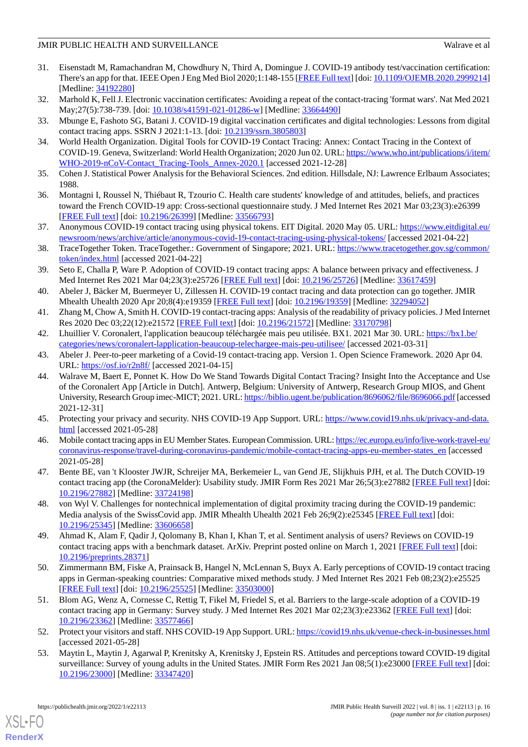- <span id="page-15-0"></span>31. Eisenstadt M, Ramachandran M, Chowdhury N, Third A, Domingue J. COVID-19 antibody test/vaccination certification: There's an app for that. IEEE Open J Eng Med Biol 2020;1:148-155 [\[FREE Full text\]](http://europepmc.org/abstract/MED/34192280) [doi: [10.1109/OJEMB.2020.2999214](http://dx.doi.org/10.1109/OJEMB.2020.2999214)] [Medline: [34192280](http://www.ncbi.nlm.nih.gov/entrez/query.fcgi?cmd=Retrieve&db=PubMed&list_uids=34192280&dopt=Abstract)]
- <span id="page-15-1"></span>32. Marhold K, Fell J. Electronic vaccination certificates: Avoiding a repeat of the contact-tracing 'format wars'. Nat Med 2021 May; 27(5): 738-739. [doi: [10.1038/s41591-021-01286-w](http://dx.doi.org/10.1038/s41591-021-01286-w)] [Medline: [33664490\]](http://www.ncbi.nlm.nih.gov/entrez/query.fcgi?cmd=Retrieve&db=PubMed&list_uids=33664490&dopt=Abstract)
- <span id="page-15-2"></span>33. Mbunge E, Fashoto SG, Batani J. COVID-19 digital vaccination certificates and digital technologies: Lessons from digital contact tracing apps. SSRN J 2021:1-13. [doi: [10.2139/ssrn.3805803\]](http://dx.doi.org/10.2139/ssrn.3805803)
- <span id="page-15-3"></span>34. World Health Organization. Digital Tools for COVID-19 Contact Tracing: Annex: Contact Tracing in the Context of COVID-19. Geneva, Switzerland: World Health Organization; 2020 Jun 02. URL: [https://www.who.int/publications/i/item/](https://www.who.int/publications/i/item/WHO-2019-nCoV-Contact_Tracing-Tools_Annex-2020.1) [WHO-2019-nCoV-Contact\\_Tracing-Tools\\_Annex-2020.1](https://www.who.int/publications/i/item/WHO-2019-nCoV-Contact_Tracing-Tools_Annex-2020.1) [accessed 2021-12-28]
- <span id="page-15-4"></span>35. Cohen J. Statistical Power Analysis for the Behavioral Sciences. 2nd edition. Hillsdale, NJ: Lawrence Erlbaum Associates; 1988.
- <span id="page-15-5"></span>36. Montagni I, Roussel N, Thiébaut R, Tzourio C. Health care students' knowledge of and attitudes, beliefs, and practices toward the French COVID-19 app: Cross-sectional questionnaire study. J Med Internet Res 2021 Mar 03;23(3):e26399 [[FREE Full text](https://www.jmir.org/2021/3/e26399/)] [doi: [10.2196/26399\]](http://dx.doi.org/10.2196/26399) [Medline: [33566793\]](http://www.ncbi.nlm.nih.gov/entrez/query.fcgi?cmd=Retrieve&db=PubMed&list_uids=33566793&dopt=Abstract)
- <span id="page-15-6"></span>37. Anonymous COVID-19 contact tracing using physical tokens. EIT Digital. 2020 May 05. URL: [https://www.eitdigital.eu/](https://www.eitdigital.eu/newsroom/news/archive/article/anonymous-covid-19-contact-tracing-using-physical-tokens/) [newsroom/news/archive/article/anonymous-covid-19-contact-tracing-using-physical-tokens/](https://www.eitdigital.eu/newsroom/news/archive/article/anonymous-covid-19-contact-tracing-using-physical-tokens/) [accessed 2021-04-22]
- <span id="page-15-7"></span>38. TraceTogether Token. TraceTogether.: Government of Singapore; 2021. URL: [https://www.tracetogether.gov.sg/common/](https://www.tracetogether.gov.sg/common/token/index.html) [token/index.html](https://www.tracetogether.gov.sg/common/token/index.html) [accessed 2021-04-22]
- <span id="page-15-8"></span>39. Seto E, Challa P, Ware P. Adoption of COVID-19 contact tracing apps: A balance between privacy and effectiveness. J Med Internet Res 2021 Mar 04;23(3):e25726 [[FREE Full text](https://www.jmir.org/2021/3/e25726/)] [doi: [10.2196/25726](http://dx.doi.org/10.2196/25726)] [Medline: [33617459](http://www.ncbi.nlm.nih.gov/entrez/query.fcgi?cmd=Retrieve&db=PubMed&list_uids=33617459&dopt=Abstract)]
- <span id="page-15-10"></span><span id="page-15-9"></span>40. Abeler J, Bäcker M, Buermeyer U, Zillessen H. COVID-19 contact tracing and data protection can go together. JMIR Mhealth Uhealth 2020 Apr 20;8(4):e19359 [[FREE Full text\]](https://mhealth.jmir.org/2020/4/e19359/) [doi: [10.2196/19359](http://dx.doi.org/10.2196/19359)] [Medline: [32294052](http://www.ncbi.nlm.nih.gov/entrez/query.fcgi?cmd=Retrieve&db=PubMed&list_uids=32294052&dopt=Abstract)]
- <span id="page-15-11"></span>41. Zhang M, Chow A, Smith H. COVID-19 contact-tracing apps: Analysis of the readability of privacy policies. J Med Internet Res 2020 Dec 03;22(12):e21572 [[FREE Full text](https://www.jmir.org/2020/12/e21572/)] [doi: [10.2196/21572](http://dx.doi.org/10.2196/21572)] [Medline: [33170798](http://www.ncbi.nlm.nih.gov/entrez/query.fcgi?cmd=Retrieve&db=PubMed&list_uids=33170798&dopt=Abstract)]
- <span id="page-15-12"></span>42. Lhuillier V. Coronalert, l'application beaucoup téléchargée mais peu utilisée. BX1. 2021 Mar 30. URL: [https://bx1.be/](https://bx1.be/categories/news/coronalert-lapplication-beaucoup-telechargee-mais-peu-utilisee/) [categories/news/coronalert-lapplication-beaucoup-telechargee-mais-peu-utilisee/](https://bx1.be/categories/news/coronalert-lapplication-beaucoup-telechargee-mais-peu-utilisee/) [accessed 2021-03-31]
- 43. Abeler J. Peer-to-peer marketing of a Covid-19 contact-tracing app. Version 1. Open Science Framework. 2020 Apr 04. URL: <https://osf.io/r2n8f/> [accessed 2021-04-15]
- <span id="page-15-14"></span><span id="page-15-13"></span>44. Walrave M, Baert E, Ponnet K. How Do We Stand Towards Digital Contact Tracing? Insight Into the Acceptance and Use of the Coronalert App [Article in Dutch]. Antwerp, Belgium: University of Antwerp, Research Group MIOS, and Ghent University, Research Group imec-MICT; 2021. URL:<https://biblio.ugent.be/publication/8696062/file/8696066.pdf> [accessed 2021-12-31]
- <span id="page-15-15"></span>45. Protecting your privacy and security. NHS COVID-19 App Support. URL: [https://www.covid19.nhs.uk/privacy-and-data.](https://www.covid19.nhs.uk/privacy-and-data.html) [html](https://www.covid19.nhs.uk/privacy-and-data.html) [accessed 2021-05-28]
- <span id="page-15-16"></span>46. Mobile contact tracing apps in EU Member States. European Commission. URL: [https://ec.europa.eu/info/live-work-travel-eu/](https://ec.europa.eu/info/live-work-travel-eu/coronavirus-response/travel-during-coronavirus-pandemic/mobile-contact-tracing-apps-eu-member-states_en) [coronavirus-response/travel-during-coronavirus-pandemic/mobile-contact-tracing-apps-eu-member-states\\_en](https://ec.europa.eu/info/live-work-travel-eu/coronavirus-response/travel-during-coronavirus-pandemic/mobile-contact-tracing-apps-eu-member-states_en) [accessed 2021-05-28]
- <span id="page-15-17"></span>47. Bente BE, van 't Klooster JWJR, Schreijer MA, Berkemeier L, van Gend JE, Slijkhuis PJH, et al. The Dutch COVID-19 contact tracing app (the CoronaMelder): Usability study. JMIR Form Res 2021 Mar 26;5(3):e27882 [\[FREE Full text](https://formative.jmir.org/2021/3/e27882/)] [doi: [10.2196/27882\]](http://dx.doi.org/10.2196/27882) [Medline: [33724198\]](http://www.ncbi.nlm.nih.gov/entrez/query.fcgi?cmd=Retrieve&db=PubMed&list_uids=33724198&dopt=Abstract)
- <span id="page-15-18"></span>48. von Wyl V. Challenges for nontechnical implementation of digital proximity tracing during the COVID-19 pandemic: Media analysis of the SwissCovid app. JMIR Mhealth Uhealth 2021 Feb 26;9(2):e25345 [\[FREE Full text\]](https://mhealth.jmir.org/2021/2/e25345/) [doi: [10.2196/25345\]](http://dx.doi.org/10.2196/25345) [Medline: [33606658\]](http://www.ncbi.nlm.nih.gov/entrez/query.fcgi?cmd=Retrieve&db=PubMed&list_uids=33606658&dopt=Abstract)
- <span id="page-15-19"></span>49. Ahmad K, Alam F, Qadir J, Qolomany B, Khan I, Khan T, et al. Sentiment analysis of users? Reviews on COVID-19 contact tracing apps with a benchmark dataset. ArXiv. Preprint posted online on March 1, 2021 [\[FREE Full text\]](http://arxiv.org/abs/2103.01196) [doi: [10.2196/preprints.28371\]](http://dx.doi.org/10.2196/preprints.28371)
- <span id="page-15-20"></span>50. Zimmermann BM, Fiske A, Prainsack B, Hangel N, McLennan S, Buyx A. Early perceptions of COVID-19 contact tracing apps in German-speaking countries: Comparative mixed methods study. J Med Internet Res 2021 Feb 08;23(2):e25525 [[FREE Full text](https://www.jmir.org/2021/2/e25525/)] [doi: [10.2196/25525\]](http://dx.doi.org/10.2196/25525) [Medline: [33503000\]](http://www.ncbi.nlm.nih.gov/entrez/query.fcgi?cmd=Retrieve&db=PubMed&list_uids=33503000&dopt=Abstract)
- <span id="page-15-21"></span>51. Blom AG, Wenz A, Cornesse C, Rettig T, Fikel M, Friedel S, et al. Barriers to the large-scale adoption of a COVID-19 contact tracing app in Germany: Survey study. J Med Internet Res 2021 Mar 02;23(3):e23362 [[FREE Full text](https://www.jmir.org/2021/3/e23362/)] [doi: [10.2196/23362\]](http://dx.doi.org/10.2196/23362) [Medline: [33577466\]](http://www.ncbi.nlm.nih.gov/entrez/query.fcgi?cmd=Retrieve&db=PubMed&list_uids=33577466&dopt=Abstract)
- 52. Protect your visitors and staff. NHS COVID-19 App Support. URL:<https://covid19.nhs.uk/venue-check-in-businesses.html> [accessed 2021-05-28]
- 53. Maytin L, Maytin J, Agarwal P, Krenitsky A, Krenitsky J, Epstein RS. Attitudes and perceptions toward COVID-19 digital surveillance: Survey of young adults in the United States. JMIR Form Res 2021 Jan 08;5(1):e23000 [\[FREE Full text](https://formative.jmir.org/2021/1/e23000/)] [doi: [10.2196/23000\]](http://dx.doi.org/10.2196/23000) [Medline: [33347420\]](http://www.ncbi.nlm.nih.gov/entrez/query.fcgi?cmd=Retrieve&db=PubMed&list_uids=33347420&dopt=Abstract)